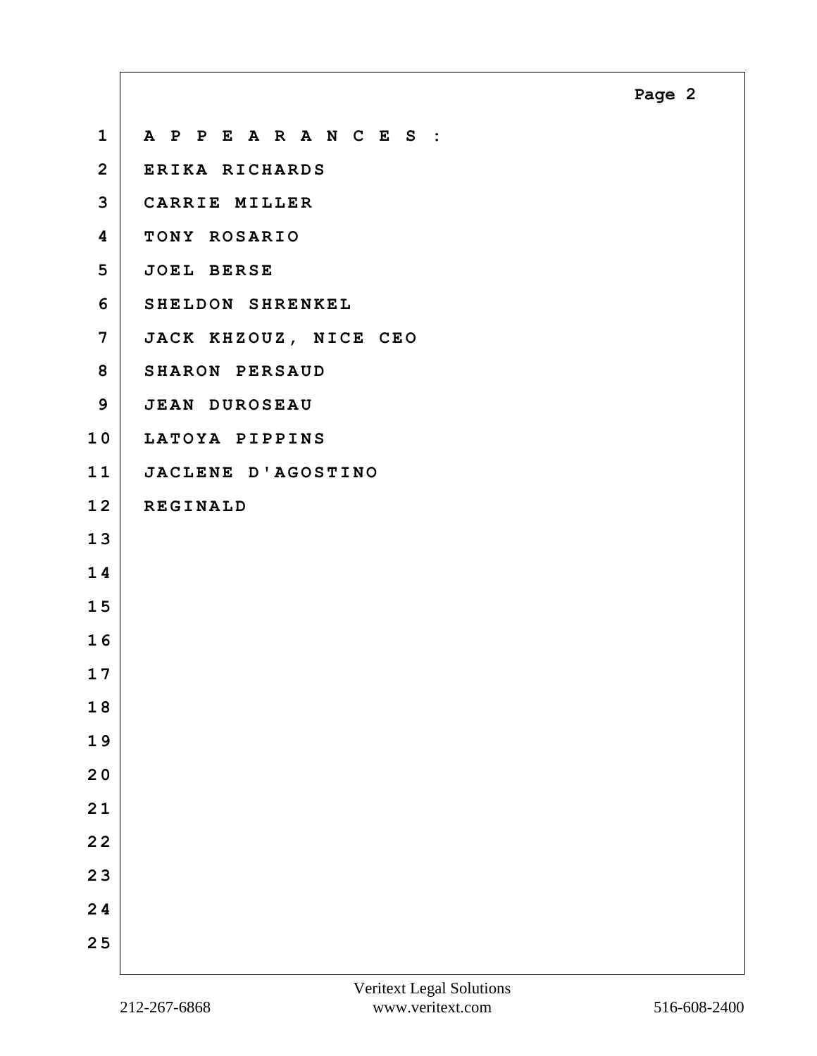<span id="page-1-0"></span>

| $\mathbf 1$             | A P P E A R A N C E S : |
|-------------------------|-------------------------|
| $\overline{2}$          | ERIKA RICHARDS          |
| 3                       | CARRIE MILLER           |
| $\overline{\mathbf{4}}$ | TONY ROSARIO            |
| 5                       | <b>JOEL BERSE</b>       |
| 6                       | SHELDON SHRENKEL        |
| $\overline{7}$          | JACK KHZOUZ, NICE CEO   |
| 8                       | SHARON PERSAUD          |
| 9                       | <b>JEAN DUROSEAU</b>    |
| 10                      | LATOYA PIPPINS          |
| 11                      | JACLENE D'AGOSTINO      |
| 12                      | <b>REGINALD</b>         |
| 13                      |                         |
| 14                      |                         |
| 15                      |                         |
| 16                      |                         |
| 17                      |                         |
| 18                      |                         |
| 19                      |                         |
| 20                      |                         |
| 21                      |                         |
| $22$                    |                         |
| 23                      |                         |
| 24                      |                         |
| 25                      |                         |
|                         |                         |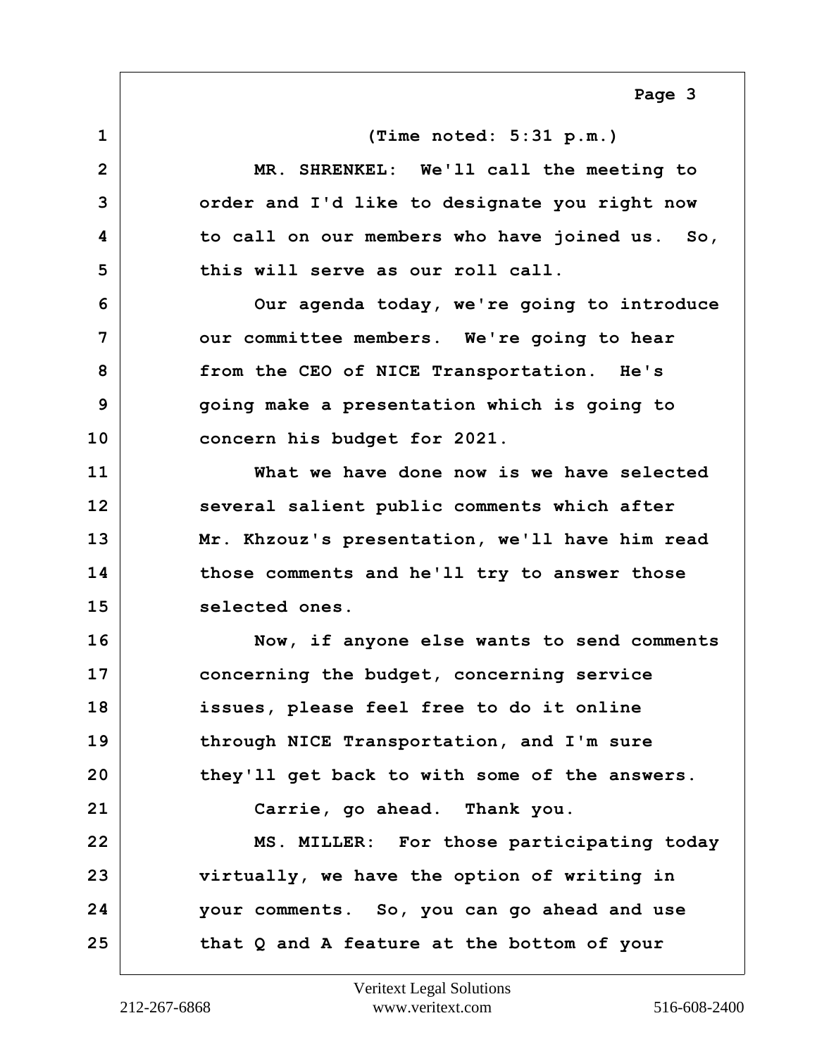<span id="page-2-0"></span>**1 (Time noted: 5:31 p.m.) 2 MR. SHRENKEL: We'll call the meeting to 3 order and I'd like to designate you right now 4 to call on our members who have joined us. So, 5 this will serve as our roll call. 6 Our agenda today, we're going to introduce 7** our committee members. We're going to hear **8 from the CEO of NICE Transportation. He's 9 going make a presentation which is going to 10 concern his budget for 2021. 11 What we have done now is we have selected 12 several salient public comments which after 13 Mr. Khzouz's presentation, we'll have him read 14 those comments and he'll try to answer those** 15 selected ones. **16 Now, if anyone else wants to send comments 17 concerning the budget, concerning service 18 issues, please feel free to do it online 19 through NICE Transportation, and I'm sure 20 they'll get back to with some of the answers. 21 Carrie, go ahead. Thank you. 22 MS. MILLER: For those participating today 23 virtually, we have the option of writing in 24 your comments. So, you can go ahead and use 25 that Q and A feature at the bottom of your**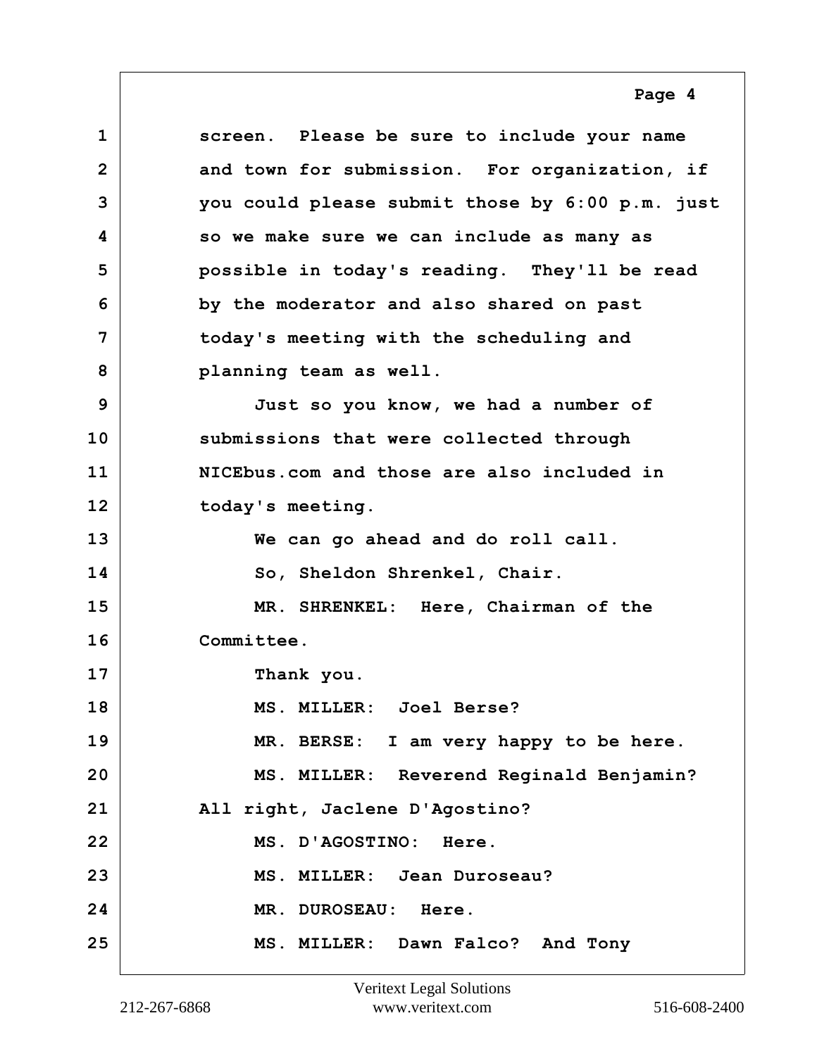<span id="page-3-0"></span>**1 screen. Please be sure to include your name 2 and town for submission. For organization, if 3 you could please submit those by 6:00 p.m. just 4 so we make sure we can include as many as 5 possible in today's reading. They'll be read 6 by the moderator and also shared on past 7 today's meeting with the scheduling and 8 planning team as well. 9 Just so you know, we had a number of 10 submissions that were collected through 11 NICEbus.com and those are also included in** 12 today's meeting. **13 We can go ahead and do roll call. 14 So, Sheldon Shrenkel, Chair. 15 MR. SHRENKEL: Here, Chairman of the 16 Committee. 17 Thank you. 18 MS. MILLER: Joel Berse? 19 MR. BERSE: I am very happy to be here. 20 MS. MILLER: Reverend Reginald Benjamin? 21 All right, Jaclene D'Agostino? 22 MS. D'AGOSTINO: Here. 23 MS. MILLER: Jean Duroseau? 24 MR. DUROSEAU: Here. 25 MS. MILLER: Dawn Falco? And Tony**

**Page 4**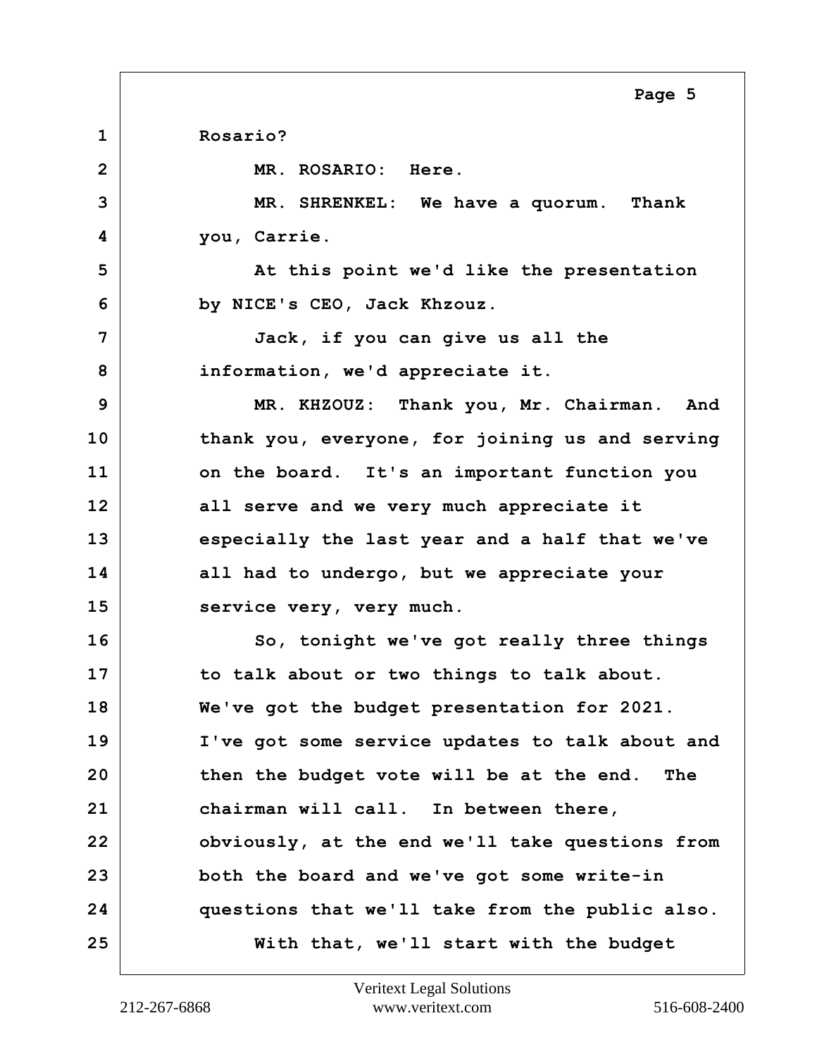<span id="page-4-0"></span>**1 Rosario? 2 MR. ROSARIO: Here. 3 MR. SHRENKEL: We have a quorum. Thank 4 you, Carrie. 5** At this point we'd like the presentation **6 by NICE's CEO, Jack Khzouz. 7 Jack, if you can give us all the 8 information, we'd appreciate it. 9 MR. KHZOUZ: Thank you, Mr. Chairman. And 10 thank you, everyone, for joining us and serving 11 on the board. It's an important function you 12 all serve and we very much appreciate it 13 especially the last year and a half that we've 14 all had to undergo, but we appreciate your** 15 service very, very much. **16 So, tonight we've got really three things 17 to talk about or two things to talk about. 18 We've got the budget presentation for 2021. 19 I've got some service updates to talk about and 20 then the budget vote will be at the end. The 21 chairman will call. In between there, 22 obviously, at the end we'll take questions from 23 both the board and we've got some write-in 24 questions that we'll take from the public also. 25 With that, we'll start with the budget**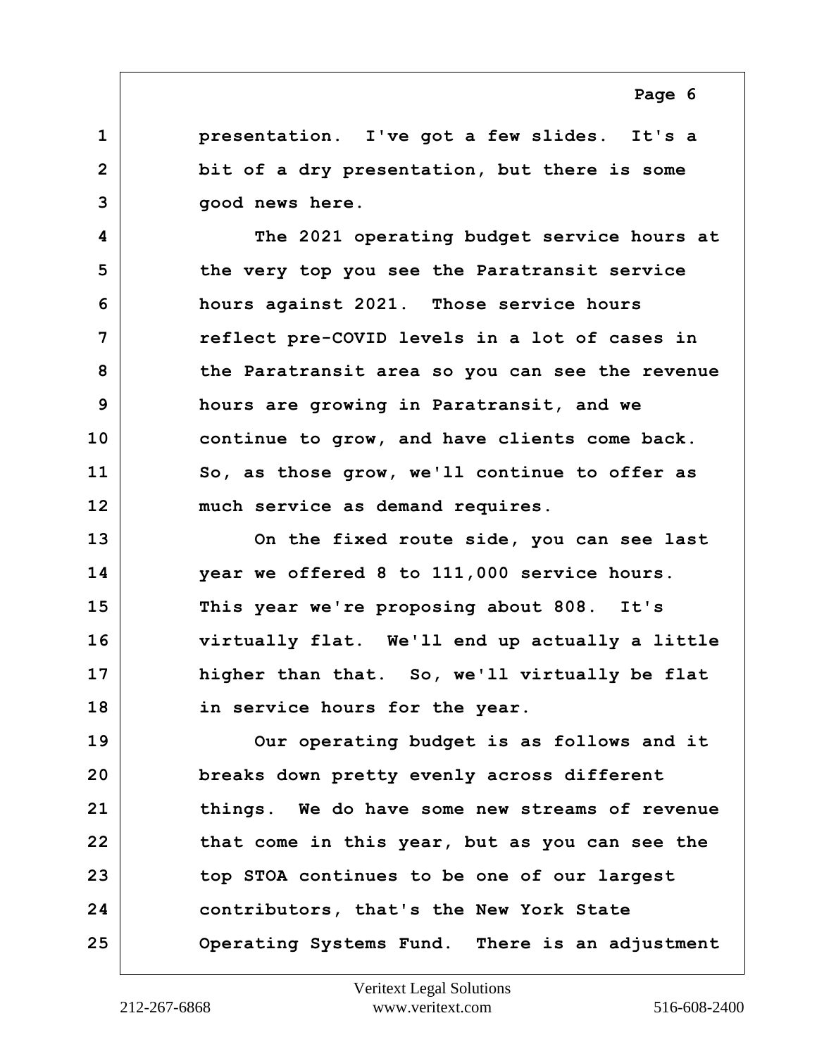<span id="page-5-0"></span>**1 presentation. I've got a few slides. It's a 2 bit of a dry presentation, but there is some 3 good news here.**

**4 The 2021 operating budget service hours at 5 the very top you see the Paratransit service 6 hours against 2021. Those service hours 7 reflect pre-COVID levels in a lot of cases in 8 the Paratransit area so you can see the revenue 9 hours are growing in Paratransit, and we 10 continue to grow, and have clients come back. 11 So, as those grow, we'll continue to offer as 12 much service as demand requires.**

**13 On the fixed route side, you can see last 14 year we offered 8 to 111,000 service hours. 15 This year we're proposing about 808. It's 16 virtually flat. We'll end up actually a little 17 higher than that. So, we'll virtually be flat 18 in service hours for the year.**

**19 Our operating budget is as follows and it 20 breaks down pretty evenly across different 21 things. We do have some new streams of revenue 22 that come in this year, but as you can see the 23 top STOA continues to be one of our largest 24 contributors, that's the New York State 25 Operating Systems Fund. There is an adjustment**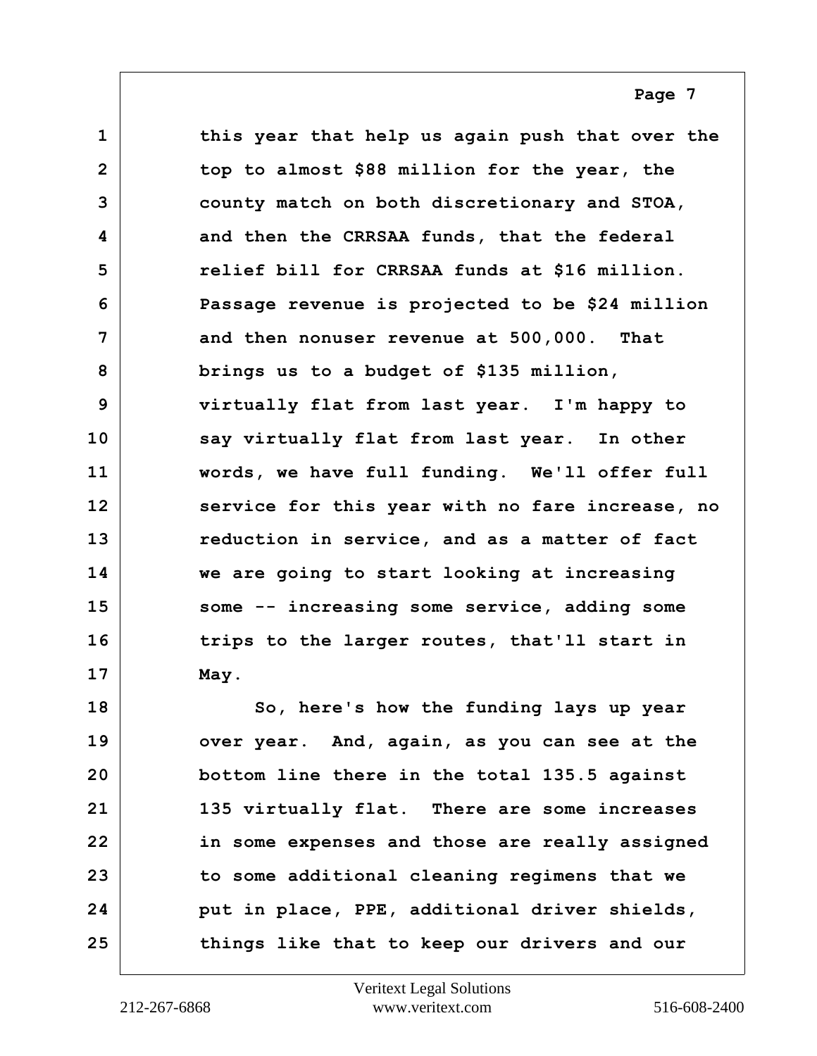<span id="page-6-0"></span>**1 this year that help us again push that over the 2 top to almost \$88 million for the year, the 3 county match on both discretionary and STOA, 4 and then the CRRSAA funds, that the federal 5 relief bill for CRRSAA funds at \$16 million. 6 Passage revenue is projected to be \$24 million 7 and then nonuser revenue at 500,000. That 8 brings us to a budget of \$135 million, 9 virtually flat from last year. I'm happy to 10 say virtually flat from last year. In other 11 words, we have full funding. We'll offer full 12 service for this year with no fare increase, no 13 reduction in service, and as a matter of fact 14 we are going to start looking at increasing 15 some -- increasing some service, adding some 16 trips to the larger routes, that'll start in 17 May.**

**18** So, here's how the funding lays up year **19 over year. And, again, as you can see at the 20 bottom line there in the total 135.5 against 21 135 virtually flat. There are some increases 22 in some expenses and those are really assigned 23 to some additional cleaning regimens that we 24 put in place, PPE, additional driver shields, 25 things like that to keep our drivers and our**

**Page 7**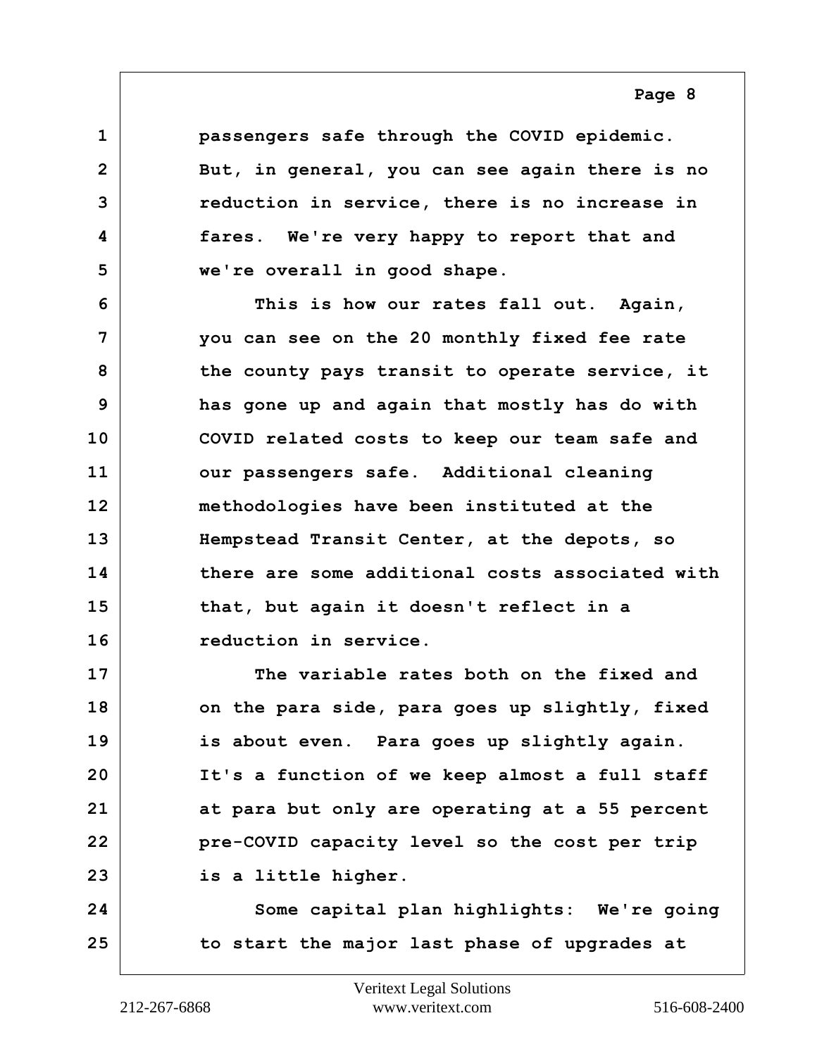<span id="page-7-0"></span>**1 passengers safe through the COVID epidemic. 2 But, in general, you can see again there is no 3 reduction in service, there is no increase in 4 fares. We're very happy to report that and 5 we're overall in good shape.**

**6 This is how our rates fall out. Again, 7 you can see on the 20 monthly fixed fee rate 8 the county pays transit to operate service, it 9 has gone up and again that mostly has do with 10 COVID related costs to keep our team safe and 11 our passengers safe. Additional cleaning 12 methodologies have been instituted at the 13 Hempstead Transit Center, at the depots, so 14 there are some additional costs associated with 15 that, but again it doesn't reflect in a 16 reduction in service.**

**17 The variable rates both on the fixed and 18 on the para side, para goes up slightly, fixed 19 is about even. Para goes up slightly again. 20 It's a function of we keep almost a full staff 21 at para but only are operating at a 55 percent 22 pre-COVID capacity level so the cost per trip 23 is a little higher.**

**24 Some capital plan highlights: We're going 25 to start the major last phase of upgrades at**

**Page 8**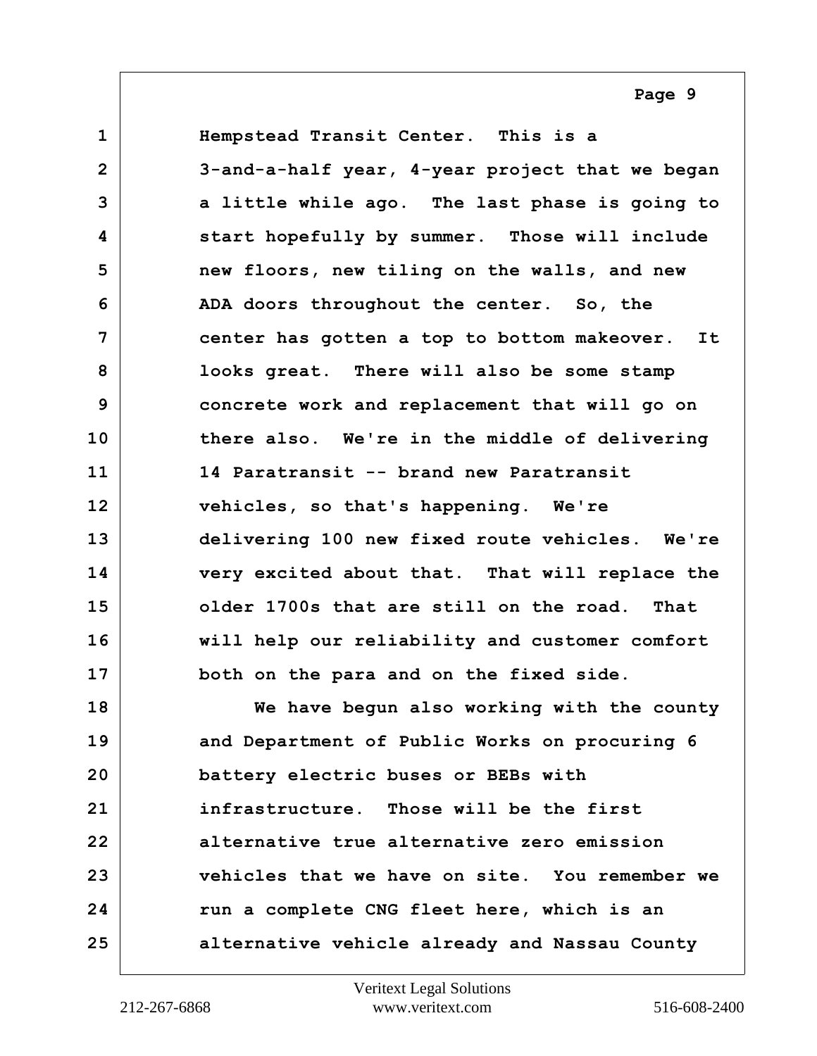<span id="page-8-0"></span>**1 Hempstead Transit Center. This is a 2 3-and-a-half year, 4-year project that we began 3 a little while ago. The last phase is going to 4 start hopefully by summer. Those will include 5 new floors, new tiling on the walls, and new 6 ADA doors throughout the center. So, the 7 center has gotten a top to bottom makeover. It 8 looks great. There will also be some stamp 9 concrete work and replacement that will go on 10 there also. We're in the middle of delivering 11 14 Paratransit -- brand new Paratransit 12 vehicles, so that's happening. We're 13 delivering 100 new fixed route vehicles. We're 14 very excited about that. That will replace the 15 older 1700s that are still on the road. That 16 will help our reliability and customer comfort 17 both on the para and on the fixed side. 18 We have begun also working with the county 19 and Department of Public Works on procuring 6 20 battery electric buses or BEBs with 21 infrastructure. Those will be the first 22 alternative true alternative zero emission 23 vehicles that we have on site. You remember we 24 run a complete CNG fleet here, which is an 25 alternative vehicle already and Nassau County**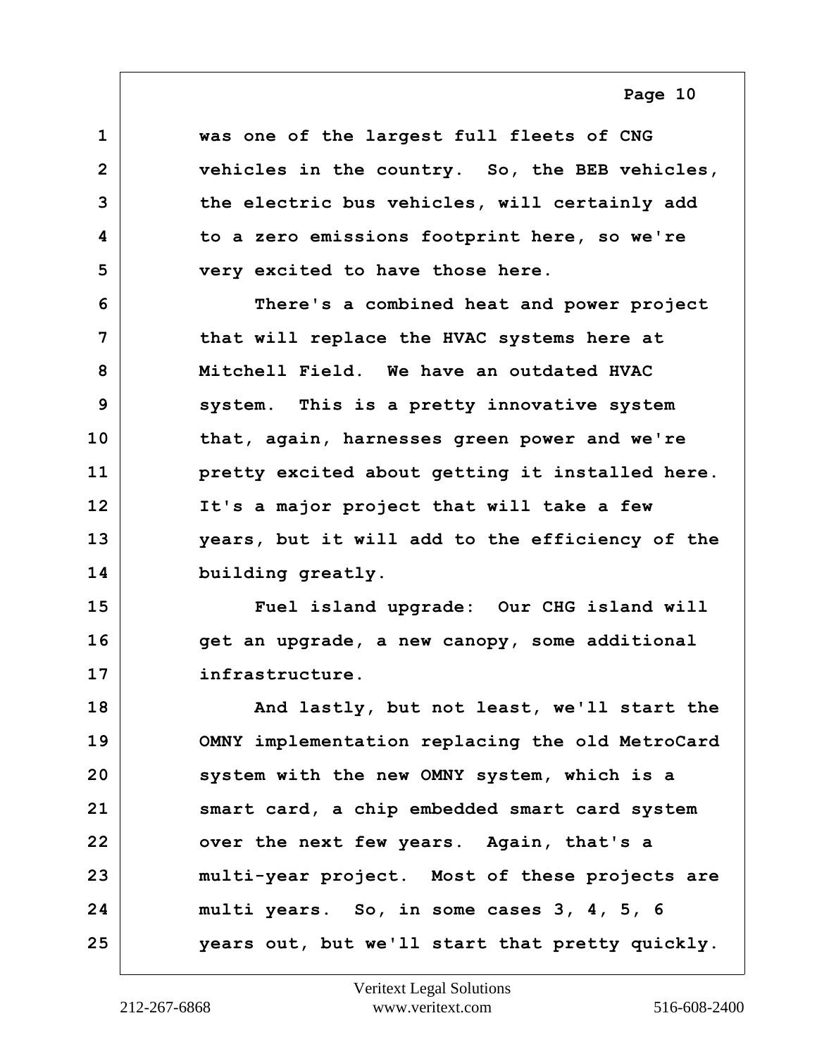<span id="page-9-0"></span>**1 was one of the largest full fleets of CNG 2 vehicles in the country. So, the BEB vehicles, 3 the electric bus vehicles, will certainly add 4 to a zero emissions footprint here, so we're 5 very excited to have those here.**

**6 There's a combined heat and power project 7 that will replace the HVAC systems here at 8 Mitchell Field. We have an outdated HVAC 9 system. This is a pretty innovative system 10 that, again, harnesses green power and we're 11 pretty excited about getting it installed here. 12 It's a major project that will take a few 13 years, but it will add to the efficiency of the 14 building greatly.**

**15 Fuel island upgrade: Our CHG island will 16 get an upgrade, a new canopy, some additional 17 infrastructure.**

**18 And lastly, but not least, we'll start the 19 OMNY implementation replacing the old MetroCard 20 system with the new OMNY system, which is a 21 smart card, a chip embedded smart card system 22 over the next few years. Again, that's a 23 multi-year project. Most of these projects are 24 multi years. So, in some cases 3, 4, 5, 6 25 years out, but we'll start that pretty quickly.**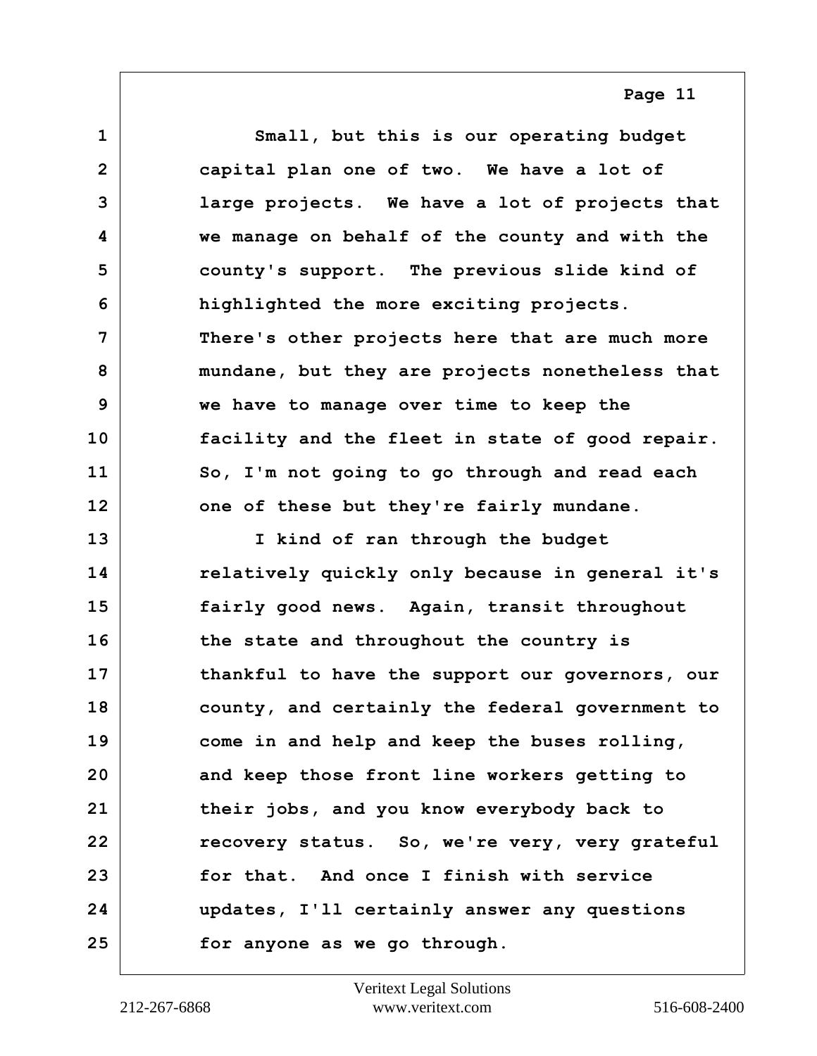<span id="page-10-0"></span>**1 Small, but this is our operating budget 2 capital plan one of two. We have a lot of 3 large projects. We have a lot of projects that 4 we manage on behalf of the county and with the 5 county's support. The previous slide kind of 6 highlighted the more exciting projects. 7 There's other projects here that are much more 8 mundane, but they are projects nonetheless that 9 we have to manage over time to keep the 10 facility and the fleet in state of good repair. 11 So, I'm not going to go through and read each 12 one of these but they're fairly mundane. 13 I kind of ran through the budget 14 relatively quickly only because in general it's 15 fairly good news. Again, transit throughout 16 the state and throughout the country is**

**17 thankful to have the support our governors, our 18 county, and certainly the federal government to 19 come in and help and keep the buses rolling, 20 and keep those front line workers getting to 21 their jobs, and you know everybody back to 22 recovery status. So, we're very, very grateful 23 for that. And once I finish with service 24 updates, I'll certainly answer any questions 25 for anyone as we go through.**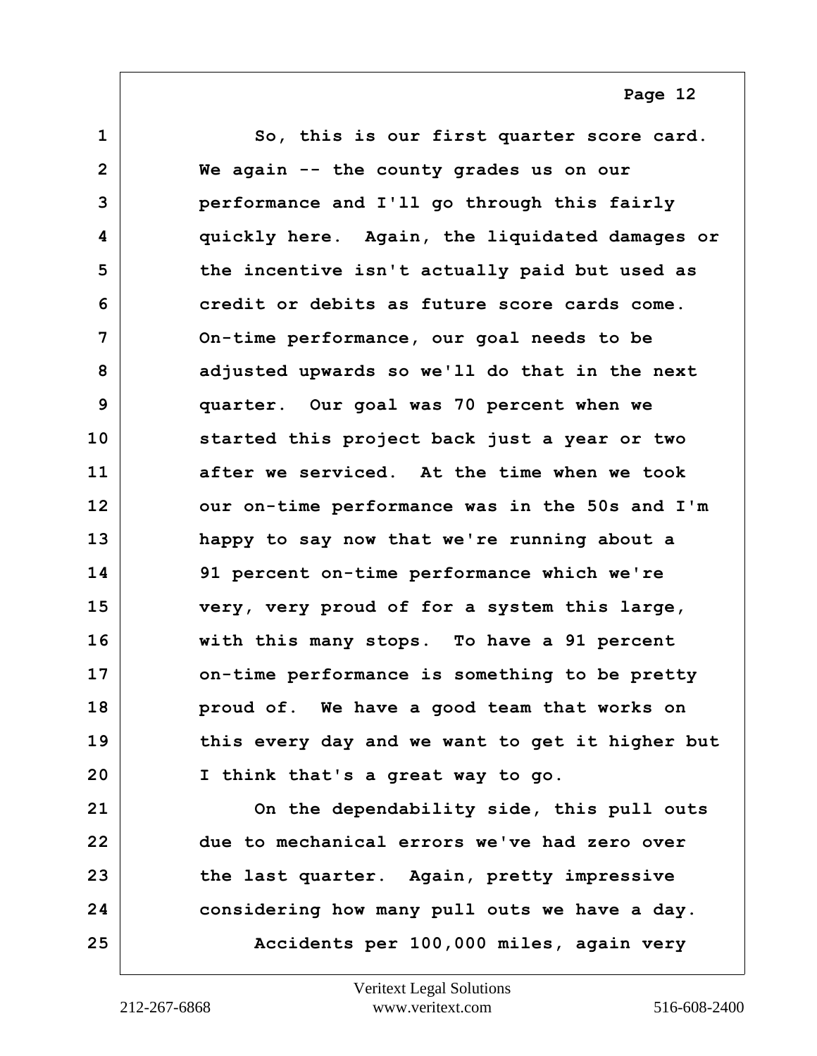<span id="page-11-0"></span>**1 So, this is our first quarter score card. 2 We again -- the county grades us on our 3 performance and I'll go through this fairly 4 quickly here. Again, the liquidated damages or 5 the incentive isn't actually paid but used as 6 credit or debits as future score cards come. 7 On-time performance, our goal needs to be 8 adjusted upwards so we'll do that in the next 9 quarter. Our goal was 70 percent when we 10 started this project back just a year or two 11 after we serviced. At the time when we took 12 our on-time performance was in the 50s and I'm 13 happy to say now that we're running about a 14 91 percent on-time performance which we're 15 very, very proud of for a system this large, 16 with this many stops. To have a 91 percent 17 on-time performance is something to be pretty 18 proud of. We have a good team that works on 19 this every day and we want to get it higher but 20 I think that's a great way to go. 21 On the dependability side, this pull outs 22 due to mechanical errors we've had zero over 23 the last quarter. Again, pretty impressive 24 considering how many pull outs we have a day. 25 Accidents per 100,000 miles, again very**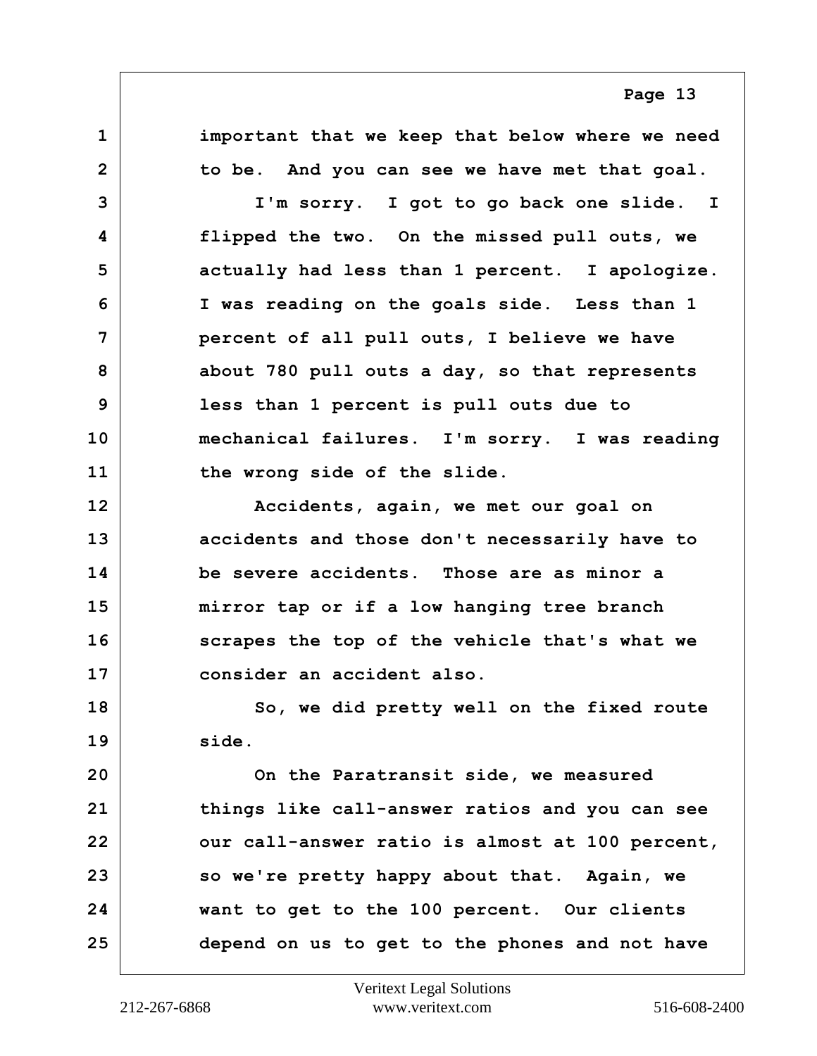<span id="page-12-0"></span>**1 important that we keep that below where we need 2 to be. And you can see we have met that goal.**

**Page 13**

**3 I'm sorry. I got to go back one slide. I 4 flipped the two. On the missed pull outs, we 5 actually had less than 1 percent. I apologize. 6 I was reading on the goals side. Less than 1 7 percent of all pull outs, I believe we have 8 about 780 pull outs a day, so that represents 9 less than 1 percent is pull outs due to 10 mechanical failures. I'm sorry. I was reading 11 the wrong side of the slide.**

**12 Accidents, again, we met our goal on 13 accidents and those don't necessarily have to 14 be severe accidents. Those are as minor a 15 mirror tap or if a low hanging tree branch 16 scrapes the top of the vehicle that's what we 17 consider an accident also.**

**18 So, we did pretty well on the fixed route 19 side.**

**20 On the Paratransit side, we measured 21 things like call-answer ratios and you can see** 22 **our call-answer ratio is almost at 100 percent, 23 so we're pretty happy about that. Again, we 24 want to get to the 100 percent. Our clients 25 depend on us to get to the phones and not have**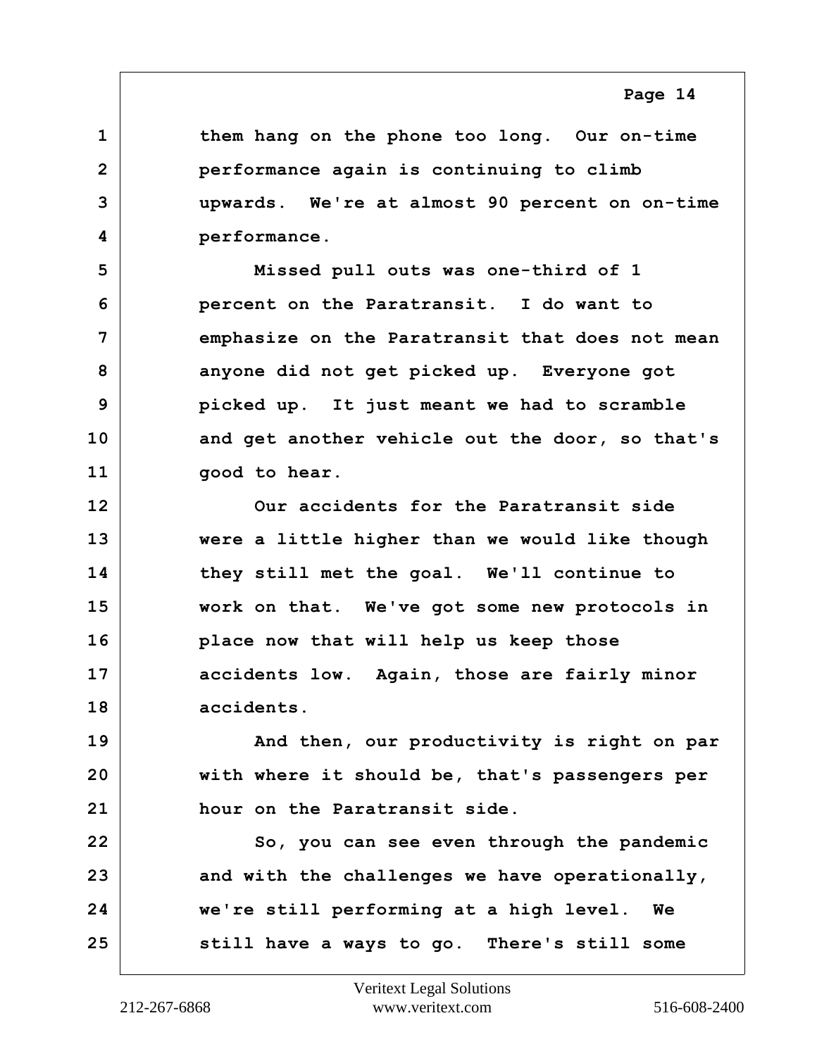<span id="page-13-0"></span>**1 them hang on the phone too long. Our on-time 2 performance again is continuing to climb 3 upwards. We're at almost 90 percent on on-time 4 performance.**

**5 Missed pull outs was one-third of 1 6 percent on the Paratransit. I do want to 7 emphasize on the Paratransit that does not mean 8 anyone did not get picked up. Everyone got 9 picked up. It just meant we had to scramble 10 and get another vehicle out the door, so that's 11 good to hear.**

**12 Our accidents for the Paratransit side 13 were a little higher than we would like though 14 they still met the goal. We'll continue to 15 work on that. We've got some new protocols in 16 place now that will help us keep those 17 accidents low. Again, those are fairly minor 18 accidents.**

**19 And then, our productivity is right on par 20 with where it should be, that's passengers per 21 hour on the Paratransit side.**

22 So, you can see even through the pandemic 23 and with the challenges we have operationally, **24 we're still performing at a high level. We 25 still have a ways to go. There's still some**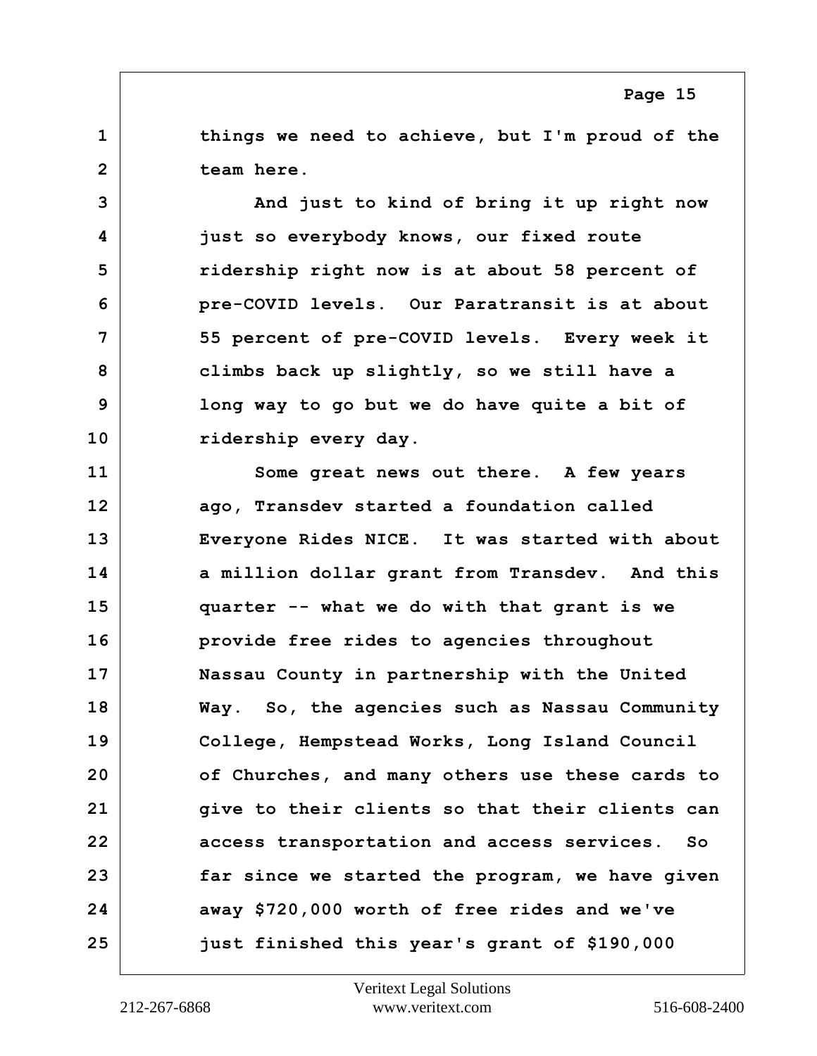<span id="page-14-0"></span>**1 things we need to achieve, but I'm proud of the 2 team here.**

**3** And just to kind of bring it up right now **4 just so everybody knows, our fixed route 5 ridership right now is at about 58 percent of 6 pre-COVID levels. Our Paratransit is at about 7 55 percent of pre-COVID levels. Every week it 8 climbs back up slightly, so we still have a 9 long way to go but we do have quite a bit of 10 ridership every day.**

**11 Some great news out there. A few years 12 ago, Transdev started a foundation called 13 Everyone Rides NICE. It was started with about 14 a million dollar grant from Transdev. And this 15 quarter -- what we do with that grant is we 16 provide free rides to agencies throughout 17 Nassau County in partnership with the United 18 Way. So, the agencies such as Nassau Community 19 College, Hempstead Works, Long Island Council 20 of Churches, and many others use these cards to 21 give to their clients so that their clients can 22 access transportation and access services. So 23 far since we started the program, we have given 24 away \$720,000 worth of free rides and we've 25 just finished this year's grant of \$190,000**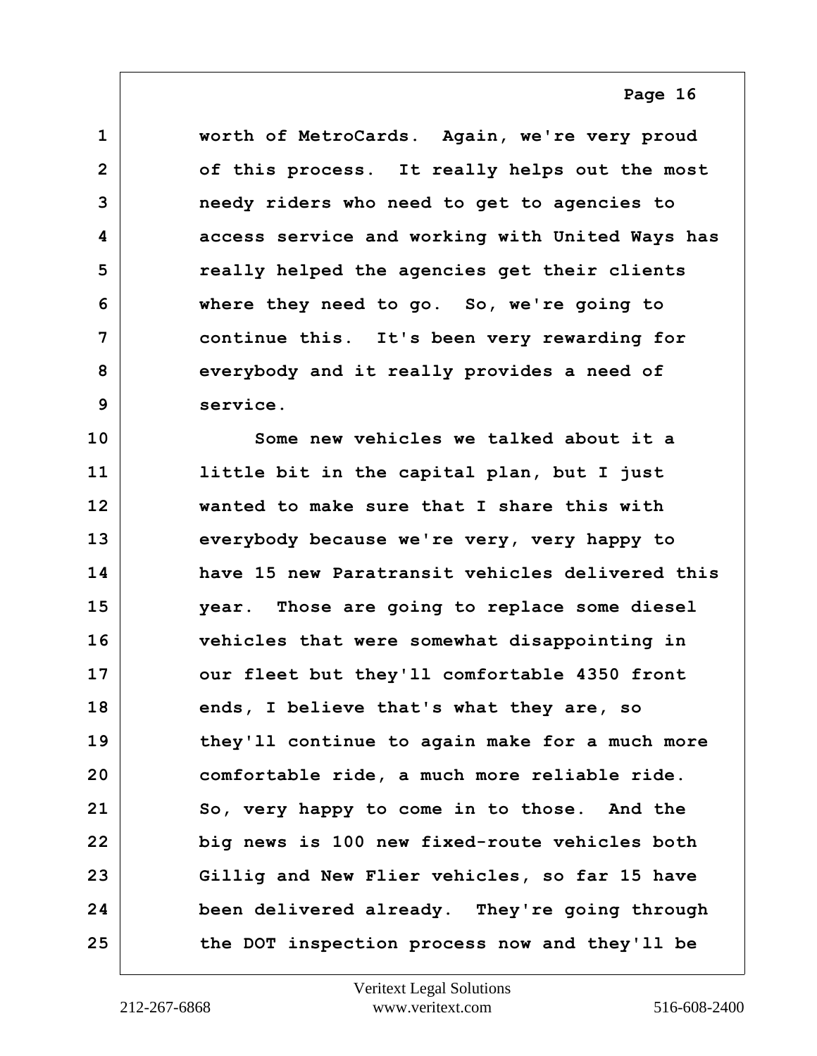<span id="page-15-0"></span>**1 worth of MetroCards. Again, we're very proud 2 of this process. It really helps out the most 3 needy riders who need to get to agencies to 4 access service and working with United Ways has 5 really helped the agencies get their clients 6 where they need to go. So, we're going to 7 continue this. It's been very rewarding for 8 everybody and it really provides a need of 9 service.**

**10 Some new vehicles we talked about it a 11 little bit in the capital plan, but I just 12 wanted to make sure that I share this with 13 everybody because we're very, very happy to 14 have 15 new Paratransit vehicles delivered this 15 year. Those are going to replace some diesel 16 vehicles that were somewhat disappointing in** 17 our fleet but they'll comfortable 4350 front **18 ends, I believe that's what they are, so 19 they'll continue to again make for a much more 20 comfortable ride, a much more reliable ride. 21 So, very happy to come in to those. And the 22 big news is 100 new fixed-route vehicles both 23 Gillig and New Flier vehicles, so far 15 have 24 been delivered already. They're going through 25 the DOT inspection process now and they'll be**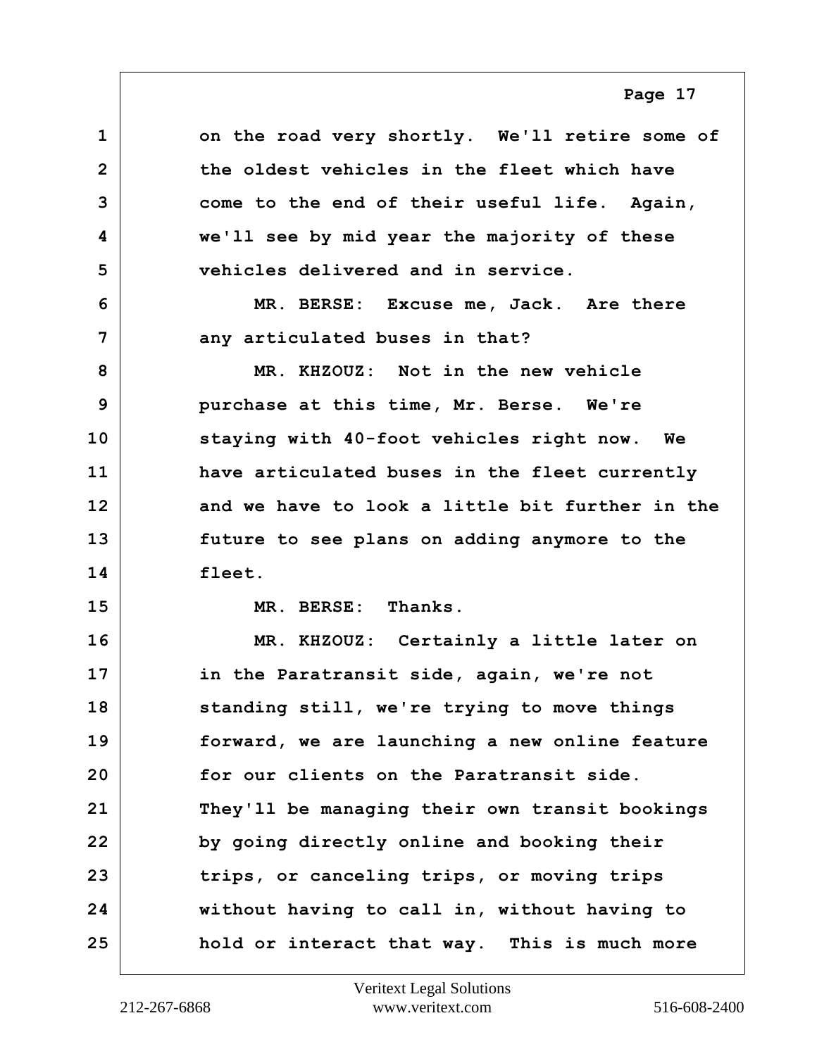<span id="page-16-0"></span>**1 on the road very shortly. We'll retire some of 2 the oldest vehicles in the fleet which have 3 come to the end of their useful life. Again, 4 we'll see by mid year the majority of these 5 vehicles delivered and in service. 6 MR. BERSE: Excuse me, Jack. Are there 7** any articulated buses in that? **8 MR. KHZOUZ: Not in the new vehicle 9 purchase at this time, Mr. Berse. We're 10 staying with 40-foot vehicles right now. We 11 have articulated buses in the fleet currently 12 and we have to look a little bit further in the 13 future to see plans on adding anymore to the 14 fleet. 15 MR. BERSE: Thanks. 16 MR. KHZOUZ: Certainly a little later on 17 in the Paratransit side, again, we're not 18 standing still, we're trying to move things 19 forward, we are launching a new online feature 20 for our clients on the Paratransit side. 21 They'll be managing their own transit bookings 22 by going directly online and booking their 23 trips, or canceling trips, or moving trips 24 without having to call in, without having to 25 hold or interact that way. This is much more**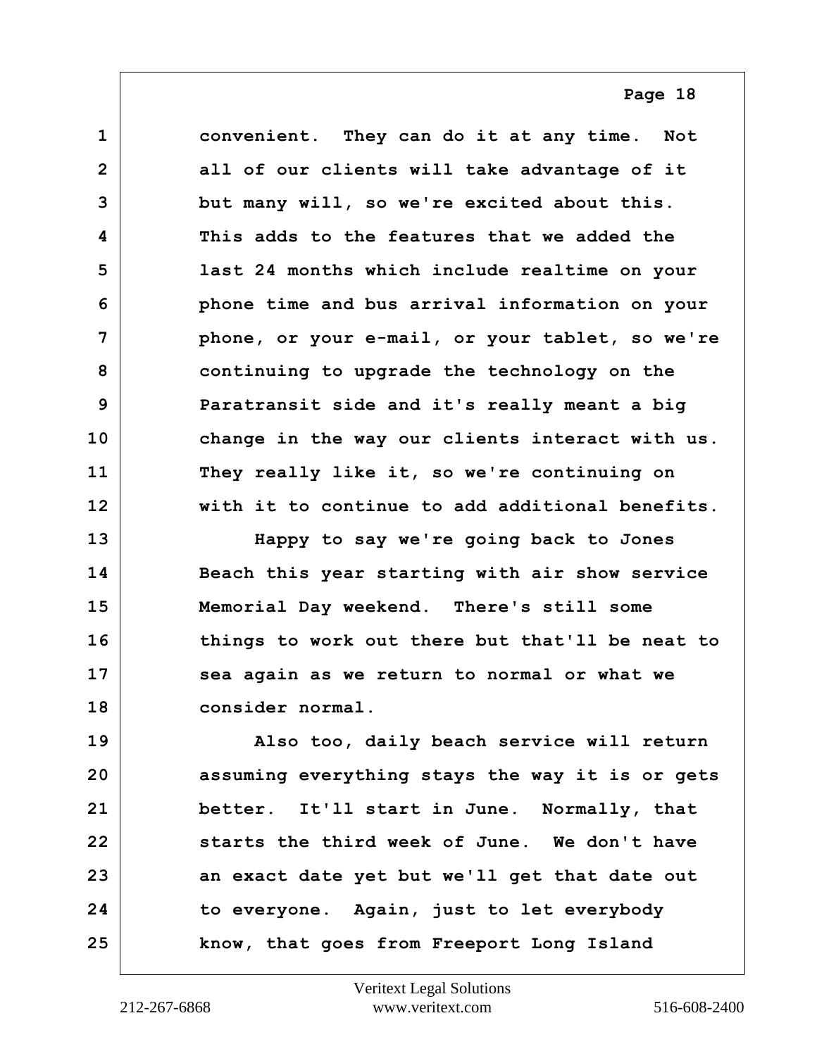<span id="page-17-0"></span>**1 convenient. They can do it at any time. Not 2 all of our clients will take advantage of it 3 but many will, so we're excited about this. 4 This adds to the features that we added the 5 last 24 months which include realtime on your 6 phone time and bus arrival information on your 7 phone, or your e-mail, or your tablet, so we're 8 continuing to upgrade the technology on the 9 Paratransit side and it's really meant a big 10 change in the way our clients interact with us. 11 They really like it, so we're continuing on 12 with it to continue to add additional benefits.**

**13 Happy to say we're going back to Jones 14 Beach this year starting with air show service 15 Memorial Day weekend. There's still some 16 things to work out there but that'll be neat to 17 sea again as we return to normal or what we 18 consider normal.**

**19 Also too, daily beach service will return 20 assuming everything stays the way it is or gets 21 better. It'll start in June. Normally, that 22 starts the third week of June. We don't have 23 an exact date yet but we'll get that date out 24 to everyone. Again, just to let everybody 25 know, that goes from Freeport Long Island**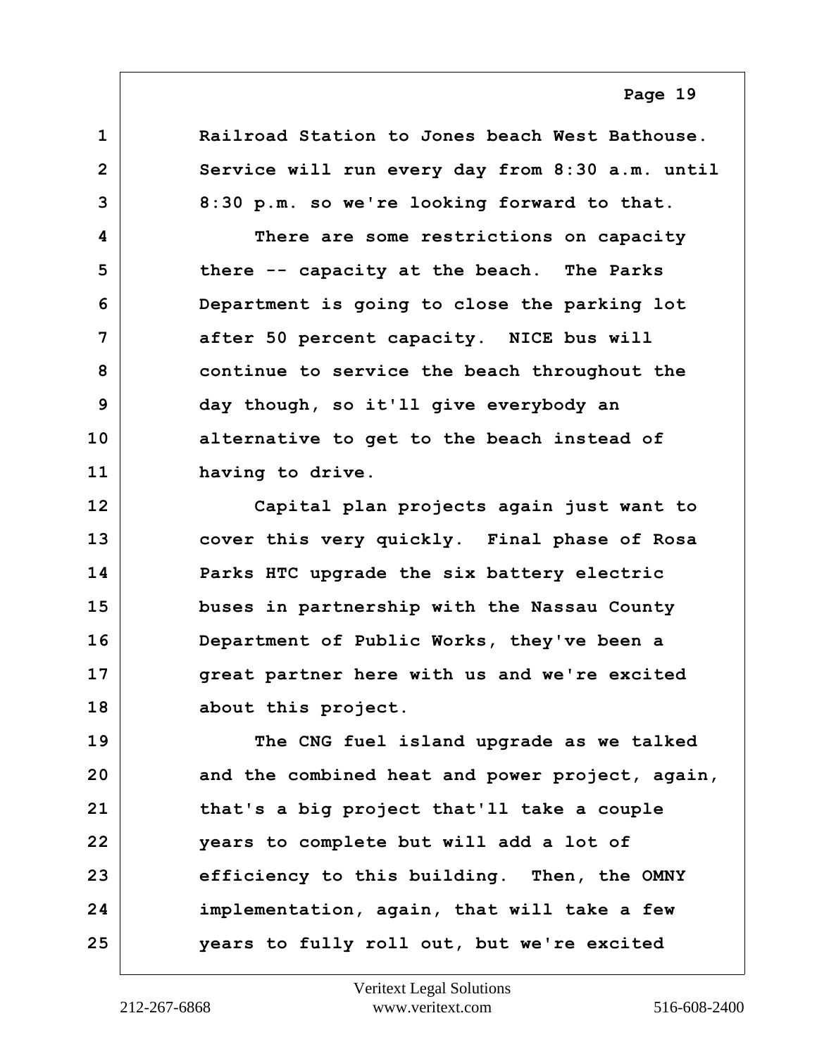<span id="page-18-0"></span>**1 Railroad Station to Jones beach West Bathouse. 2 Service will run every day from 8:30 a.m. until 3 8:30 p.m. so we're looking forward to that. 4 There are some restrictions on capacity 5 there -- capacity at the beach. The Parks 6 Department is going to close the parking lot 7 after 50 percent capacity. NICE bus will 8 continue to service the beach throughout the 9 day though, so it'll give everybody an 10 alternative to get to the beach instead of 11 having to drive.**

**12 Capital plan projects again just want to 13 cover this very quickly. Final phase of Rosa 14 Parks HTC upgrade the six battery electric 15 buses in partnership with the Nassau County 16 Department of Public Works, they've been a 17 great partner here with us and we're excited 18 about this project.**

**19 The CNG fuel island upgrade as we talked 20 and the combined heat and power project, again, 21 that's a big project that'll take a couple 22 years to complete but will add a lot of 23 efficiency to this building. Then, the OMNY 24 implementation, again, that will take a few 25 years to fully roll out, but we're excited**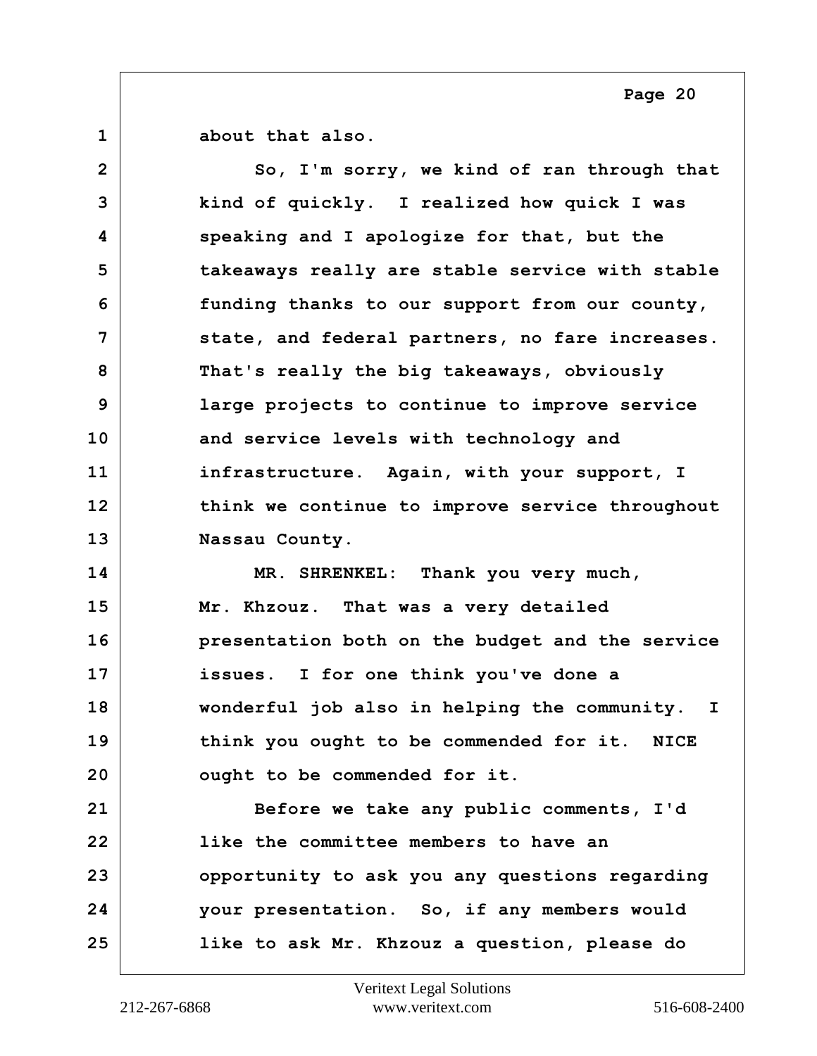<span id="page-19-0"></span>**1 about that also.**

2 So, I'm sorry, we kind of ran through that **3 kind of quickly. I realized how quick I was 4 speaking and I apologize for that, but the 5 takeaways really are stable service with stable 6 funding thanks to our support from our county, 7 state, and federal partners, no fare increases. 8 That's really the big takeaways, obviously 9 large projects to continue to improve service 10 and service levels with technology and 11 infrastructure. Again, with your support, I 12 think we continue to improve service throughout 13 Nassau County.**

**14 MR. SHRENKEL: Thank you very much, 15 Mr. Khzouz. That was a very detailed 16 presentation both on the budget and the service 17 issues. I for one think you've done a 18 wonderful job also in helping the community. I 19 think you ought to be commended for it. NICE 20 ought to be commended for it.**

**21 Before we take any public comments, I'd 22 like the committee members to have an 23 opportunity to ask you any questions regarding 24 your presentation. So, if any members would 25 like to ask Mr. Khzouz a question, please do**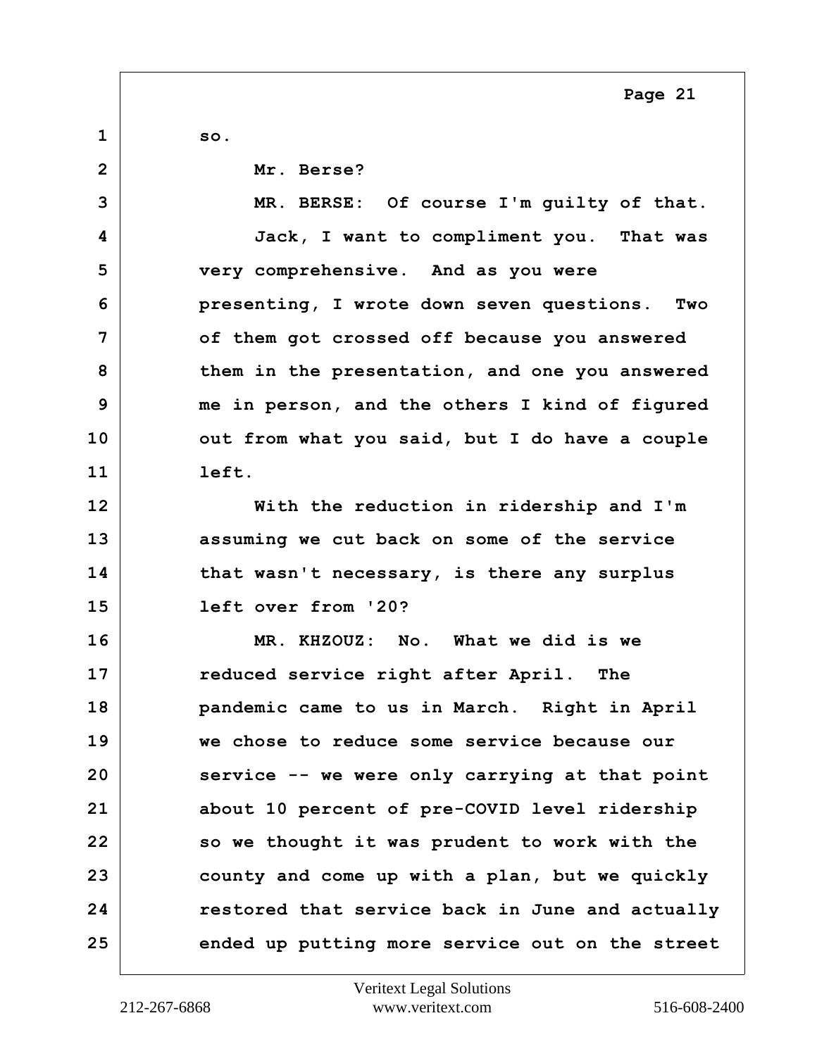<span id="page-20-0"></span>**1 so. 2 Mr. Berse? 3 MR. BERSE: Of course I'm guilty of that. 4 Jack, I want to compliment you. That was 5 very comprehensive. And as you were 6 presenting, I wrote down seven questions. Two 7 of them got crossed off because you answered 8 them in the presentation, and one you answered 9 me in person, and the others I kind of figured** 10 **out from what you said, but I do have a couple 11 left. 12 With the reduction in ridership and I'm 13 assuming we cut back on some of the service 14 that wasn't necessary, is there any surplus 15 left over from '20? 16 MR. KHZOUZ: No. What we did is we 17 reduced service right after April. The 18 pandemic came to us in March. Right in April 19 we chose to reduce some service because our 20 service -- we were only carrying at that point 21 about 10 percent of pre-COVID level ridership** 22 so we thought it was prudent to work with the **23 county and come up with a plan, but we quickly 24 restored that service back in June and actually 25 ended up putting more service out on the street**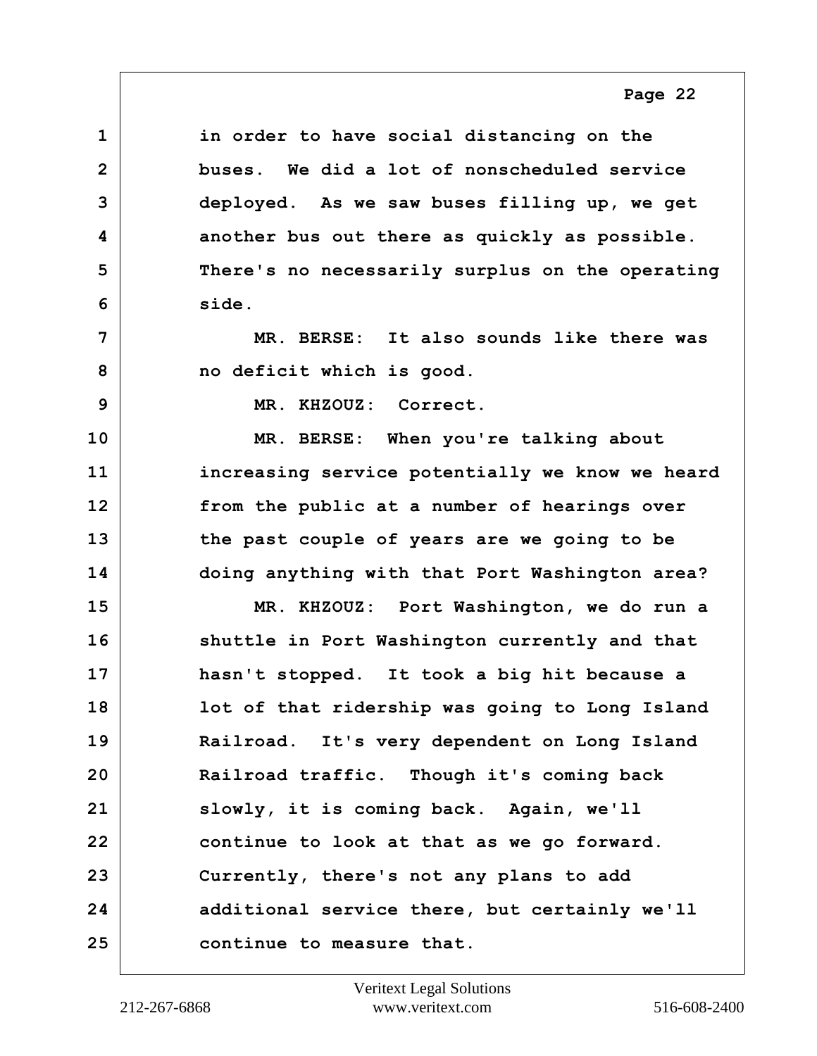<span id="page-21-0"></span>**1 in order to have social distancing on the 2 buses. We did a lot of nonscheduled service 3 deployed. As we saw buses filling up, we get 4 another bus out there as quickly as possible. 5 There's no necessarily surplus on the operating 6 side. 7 MR. BERSE: It also sounds like there was 8 no deficit which is good. 9 MR. KHZOUZ: Correct. 10 MR. BERSE: When you're talking about 11 increasing service potentially we know we heard 12 from the public at a number of hearings over 13 the past couple of years are we going to be 14 doing anything with that Port Washington area? 15 MR. KHZOUZ: Port Washington, we do run a 16 shuttle in Port Washington currently and that 17 hasn't stopped. It took a big hit because a 18 lot of that ridership was going to Long Island 19 Railroad. It's very dependent on Long Island 20 Railroad traffic. Though it's coming back 21 slowly, it is coming back. Again, we'll 22 continue to look at that as we go forward. 23 Currently, there's not any plans to add 24 additional service there, but certainly we'll 25 continue to measure that.**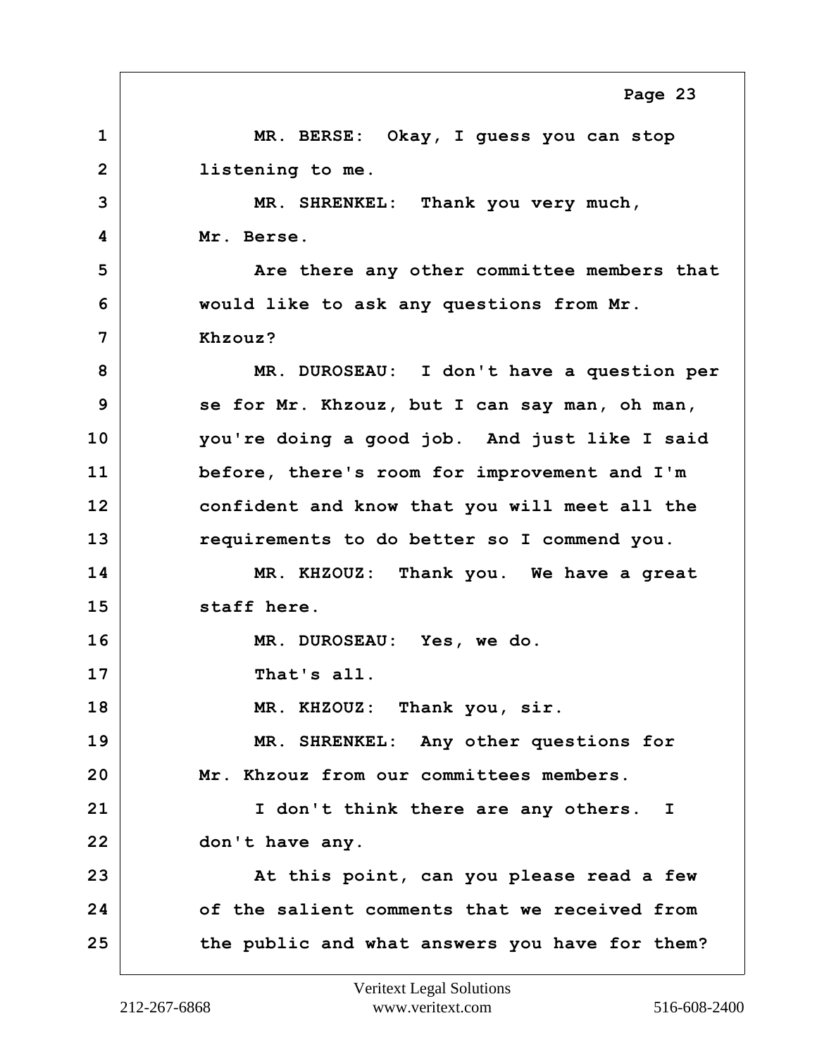<span id="page-22-0"></span>**1 MR. BERSE: Okay, I guess you can stop 2 listening to me. 3 MR. SHRENKEL: Thank you very much, 4 Mr. Berse. 5** Are there any other committee members that **6 would like to ask any questions from Mr. 7 Khzouz? 8 MR. DUROSEAU: I don't have a question per 9 se for Mr. Khzouz, but I can say man, oh man, 10 you're doing a good job. And just like I said 11 before, there's room for improvement and I'm 12 confident and know that you will meet all the 13 requirements to do better so I commend you. 14 MR. KHZOUZ: Thank you. We have a great 15 staff here. 16 MR. DUROSEAU: Yes, we do. 17 That's all. 18 MR. KHZOUZ: Thank you, sir. 19 MR. SHRENKEL: Any other questions for 20 Mr. Khzouz from our committees members. 21 I don't think there are any others. I 22 don't have any. 23 At this point, can you please read a few 24 of the salient comments that we received from 25 the public and what answers you have for them?**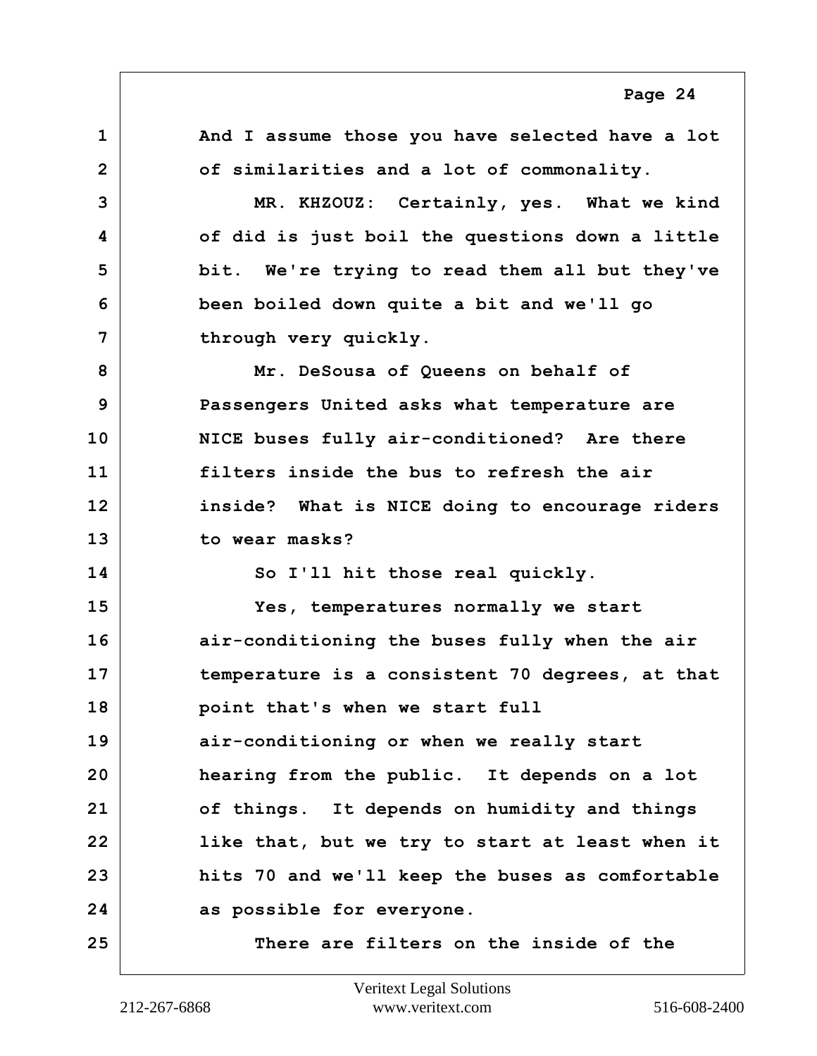<span id="page-23-0"></span>**1 And I assume those you have selected have a lot 2 of similarities and a lot of commonality. 3 MR. KHZOUZ: Certainly, yes. What we kind 4 of did is just boil the questions down a little 5 bit. We're trying to read them all but they've 6 been boiled down quite a bit and we'll go 7 through very quickly. 8 Mr. DeSousa of Queens on behalf of 9 Passengers United asks what temperature are 10 NICE buses fully air-conditioned? Are there 11 filters inside the bus to refresh the air 12 inside? What is NICE doing to encourage riders 13 to wear masks? 14 So I'll hit those real quickly. 15 Yes, temperatures normally we start 16 air-conditioning the buses fully when the air 17 temperature is a consistent 70 degrees, at that 18 point that's when we start full 19 air-conditioning or when we really start 20 hearing from the public. It depends on a lot 21 of things. It depends on humidity and things 22 like that, but we try to start at least when it 23 hits 70 and we'll keep the buses as comfortable 24 as possible for everyone. 25 There are filters on the inside of the Page 24**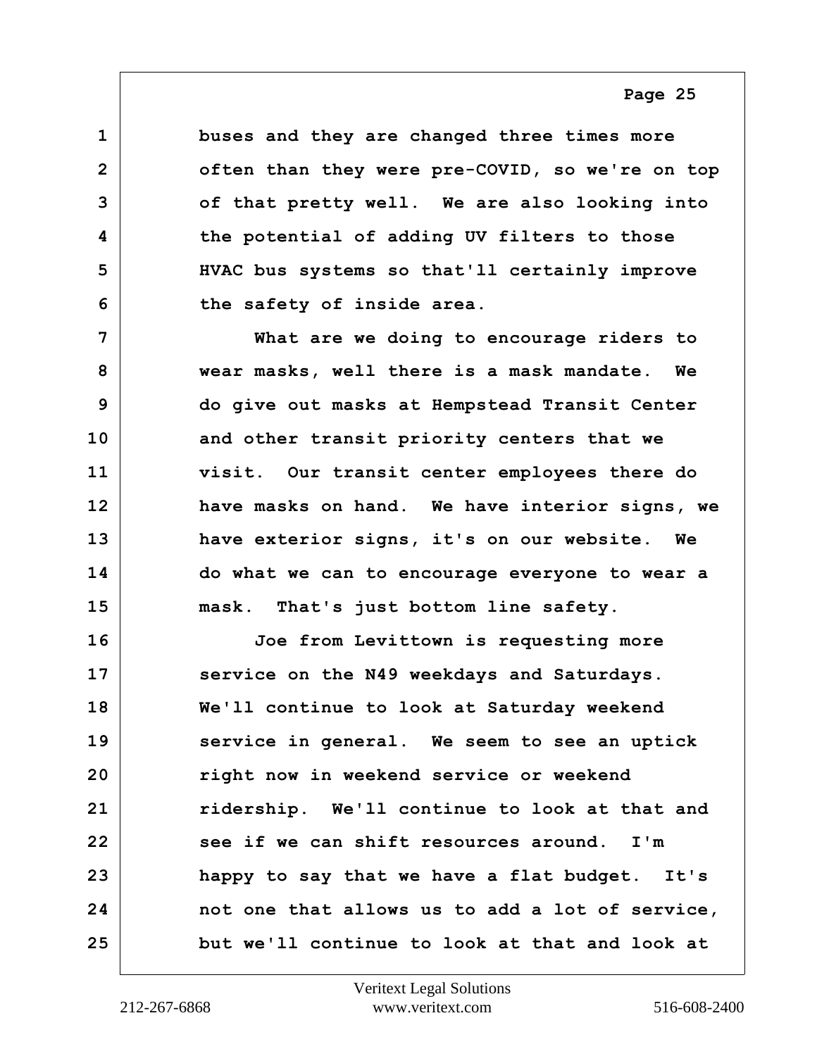<span id="page-24-0"></span>**1 buses and they are changed three times more 2 often than they were pre-COVID, so we're on top 3 of that pretty well. We are also looking into 4 the potential of adding UV filters to those 5 HVAC bus systems so that'll certainly improve 6 the safety of inside area.**

**7 What are we doing to encourage riders to 8 wear masks, well there is a mask mandate. We 9 do give out masks at Hempstead Transit Center 10 and other transit priority centers that we 11 visit. Our transit center employees there do 12 have masks on hand. We have interior signs, we 13 have exterior signs, it's on our website. We 14 do what we can to encourage everyone to wear a 15 mask. That's just bottom line safety.**

**16 Joe from Levittown is requesting more 17 service on the N49 weekdays and Saturdays. 18 We'll continue to look at Saturday weekend 19 service in general. We seem to see an uptick 20 right now in weekend service or weekend 21 ridership. We'll continue to look at that and 22 see if we can shift resources around. I'm 23 happy to say that we have a flat budget. It's 24 not one that allows us to add a lot of service, 25 but we'll continue to look at that and look at**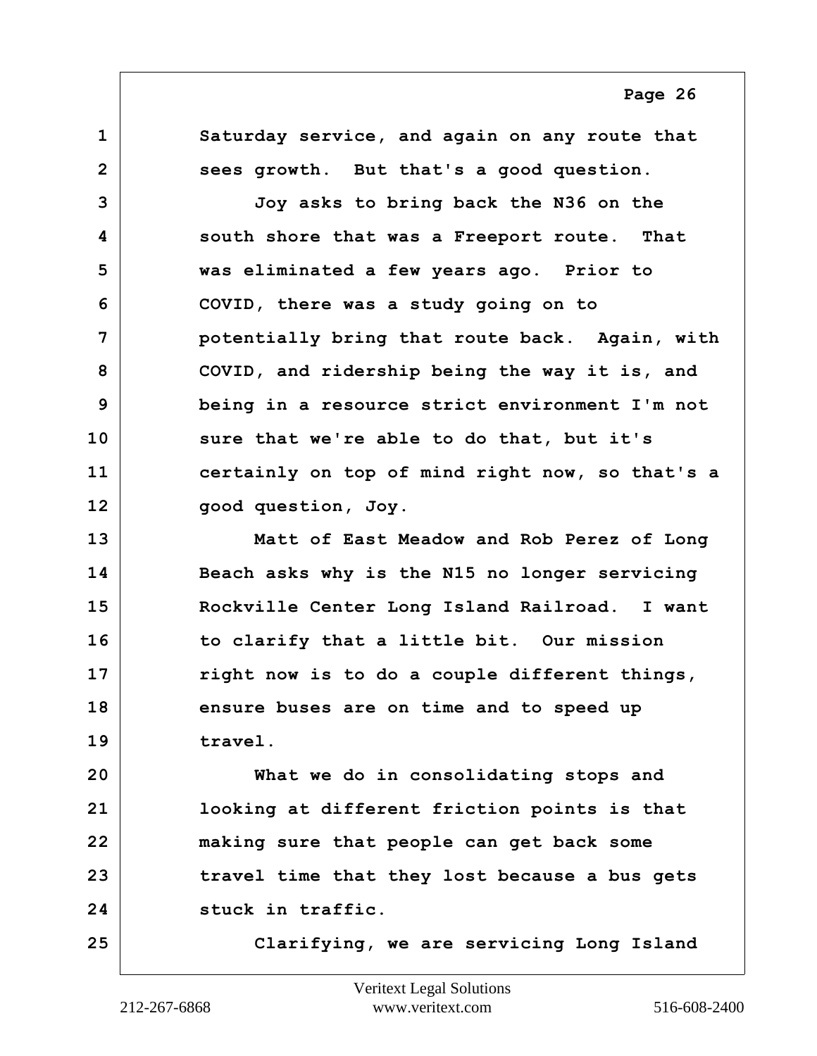<span id="page-25-0"></span>**1 Saturday service, and again on any route that 2 sees growth. But that's a good question. 3 Joy asks to bring back the N36 on the 4 south shore that was a Freeport route. That 5 was eliminated a few years ago. Prior to 6 COVID, there was a study going on to 7 potentially bring that route back. Again, with 8 COVID, and ridership being the way it is, and 9 being in a resource strict environment I'm not 10 sure that we're able to do that, but it's 11 certainly on top of mind right now, so that's a 12 good question, Joy.**

**13 Matt of East Meadow and Rob Perez of Long 14 Beach asks why is the N15 no longer servicing 15 Rockville Center Long Island Railroad. I want 16 to clarify that a little bit. Our mission 17 right now is to do a couple different things, 18 ensure buses are on time and to speed up 19 travel.**

**20 What we do in consolidating stops and 21 looking at different friction points is that 22 making sure that people can get back some 23 travel time that they lost because a bus gets 24 stuck in traffic.**

**25 Clarifying, we are servicing Long Island**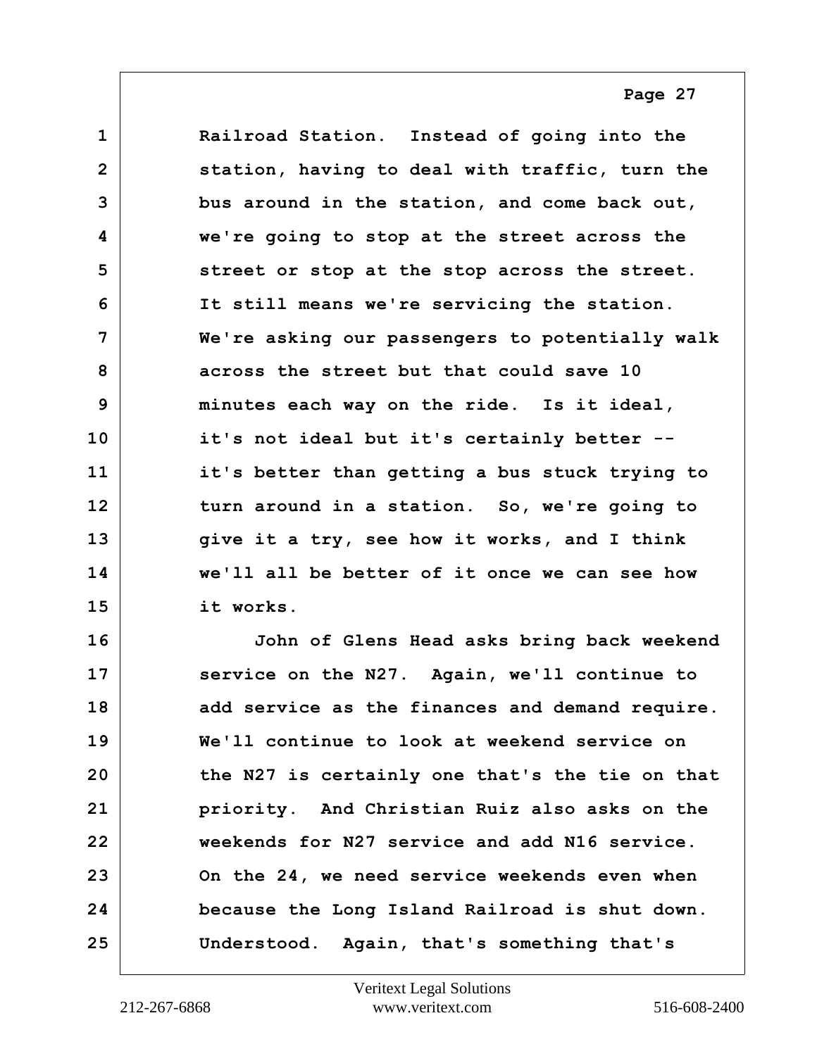<span id="page-26-0"></span>**1 Railroad Station. Instead of going into the 2 station, having to deal with traffic, turn the 3 bus around in the station, and come back out, 4 we're going to stop at the street across the 5 street or stop at the stop across the street. 6 It still means we're servicing the station. 7 We're asking our passengers to potentially walk 8 across the street but that could save 10 9 minutes each way on the ride. Is it ideal, 10 it's not ideal but it's certainly better -- 11 it's better than getting a bus stuck trying to 12 turn around in a station. So, we're going to 13 give it a try, see how it works, and I think 14 we'll all be better of it once we can see how 15 it works.**

**16 John of Glens Head asks bring back weekend 17 service on the N27. Again, we'll continue to 18 add service as the finances and demand require. 19 We'll continue to look at weekend service on 20 the N27 is certainly one that's the tie on that 21 priority. And Christian Ruiz also asks on the 22 weekends for N27 service and add N16 service. 23 On the 24, we need service weekends even when 24 because the Long Island Railroad is shut down. 25 Understood. Again, that's something that's**

**Page 27**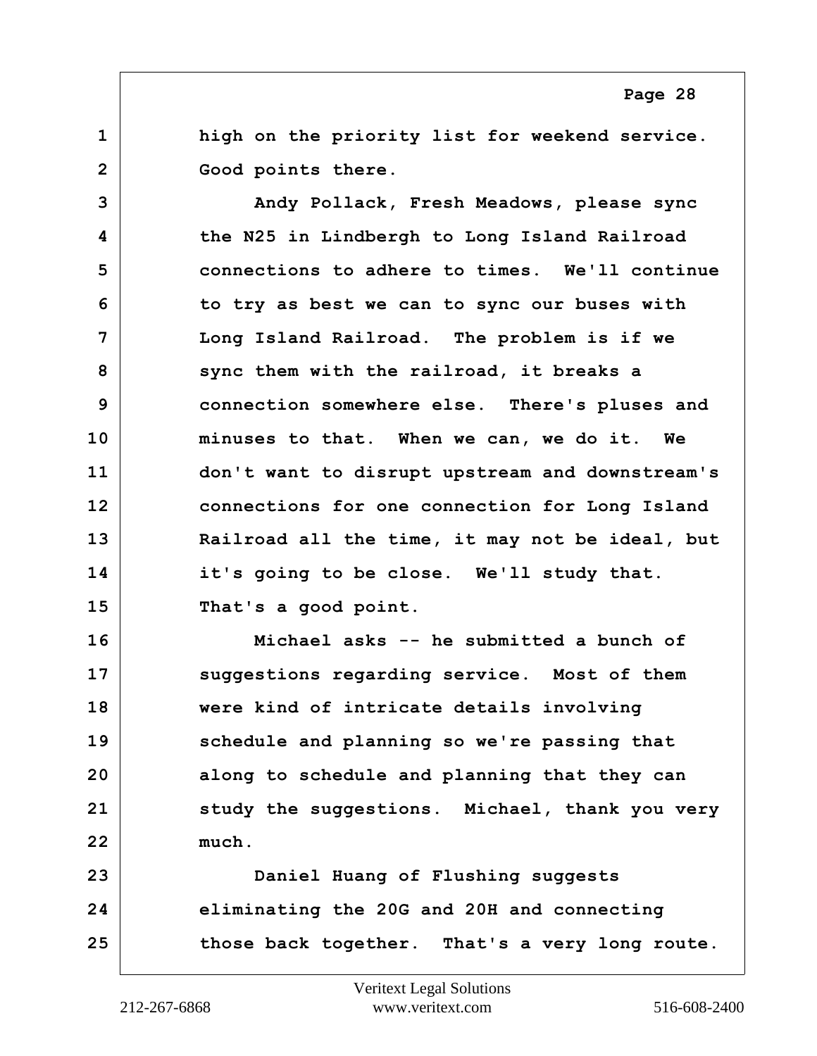<span id="page-27-0"></span>**1 high on the priority list for weekend service.** 2 Good points there.

**3 Andy Pollack, Fresh Meadows, please sync 4 the N25 in Lindbergh to Long Island Railroad 5 connections to adhere to times. We'll continue 6 to try as best we can to sync our buses with 7 Long Island Railroad. The problem is if we 8 sync them with the railroad, it breaks a 9 connection somewhere else. There's pluses and 10 minuses to that. When we can, we do it. We 11 don't want to disrupt upstream and downstream's 12 connections for one connection for Long Island 13 Railroad all the time, it may not be ideal, but 14 it's going to be close. We'll study that. 15 That's a good point.**

**16 Michael asks -- he submitted a bunch of 17 suggestions regarding service. Most of them 18 were kind of intricate details involving 19 schedule and planning so we're passing that 20 along to schedule and planning that they can 21 study the suggestions. Michael, thank you very 22 much.**

**23 Daniel Huang of Flushing suggests 24 eliminating the 20G and 20H and connecting 25 those back together. That's a very long route.**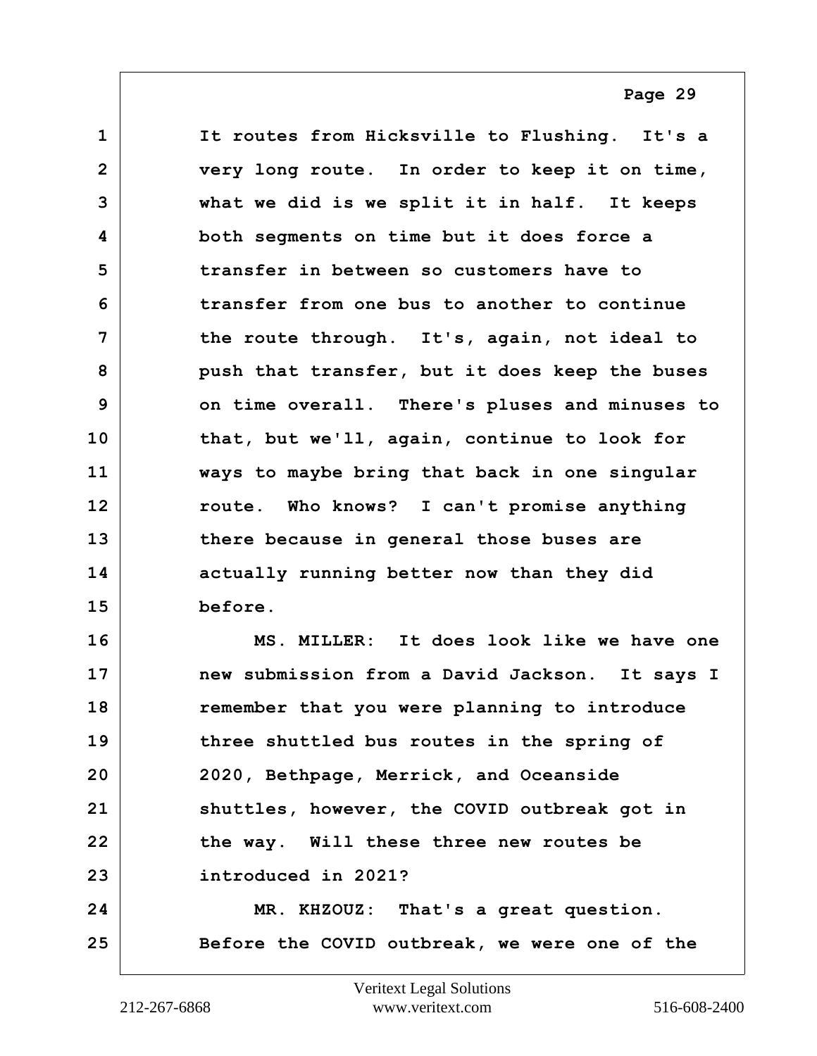<span id="page-28-0"></span>**1 It routes from Hicksville to Flushing. It's a 2 very long route. In order to keep it on time, 3 what we did is we split it in half. It keeps 4 both segments on time but it does force a 5 transfer in between so customers have to 6 transfer from one bus to another to continue 7 the route through. It's, again, not ideal to 8 push that transfer, but it does keep the buses 9 on time overall. There's pluses and minuses to 10 that, but we'll, again, continue to look for 11 ways to maybe bring that back in one singular 12 route. Who knows? I can't promise anything 13 there because in general those buses are 14 actually running better now than they did 15 before.**

**16 MS. MILLER: It does look like we have one 17 new submission from a David Jackson. It says I 18 remember that you were planning to introduce 19 three shuttled bus routes in the spring of 20 2020, Bethpage, Merrick, and Oceanside 21 shuttles, however, the COVID outbreak got in** 22 the way. Will these three new routes be **23 introduced in 2021?**

**24 MR. KHZOUZ: That's a great question. 25 Before the COVID outbreak, we were one of the**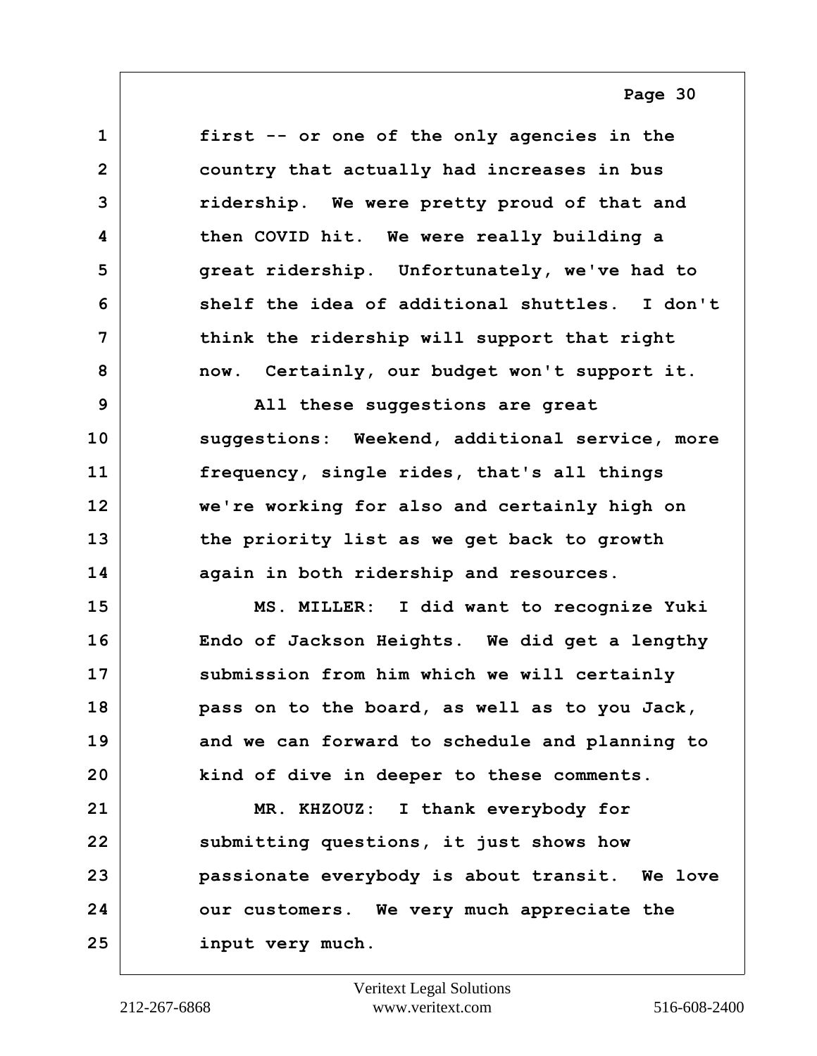<span id="page-29-0"></span>**1 first -- or one of the only agencies in the 2 country that actually had increases in bus 3 ridership. We were pretty proud of that and 4 then COVID hit. We were really building a 5 great ridership. Unfortunately, we've had to 6 shelf the idea of additional shuttles. I don't 7 think the ridership will support that right 8 now. Certainly, our budget won't support it.**

**9 All these suggestions are great 10 suggestions: Weekend, additional service, more 11 frequency, single rides, that's all things 12 we're working for also and certainly high on 13 the priority list as we get back to growth 14 again in both ridership and resources.**

**15 MS. MILLER: I did want to recognize Yuki 16 Endo of Jackson Heights. We did get a lengthy 17 submission from him which we will certainly 18 pass on to the board, as well as to you Jack, 19 and we can forward to schedule and planning to 20 kind of dive in deeper to these comments.**

**21 MR. KHZOUZ: I thank everybody for 22 submitting questions, it just shows how 23 passionate everybody is about transit. We love 24 our customers. We very much appreciate the 25 input very much.**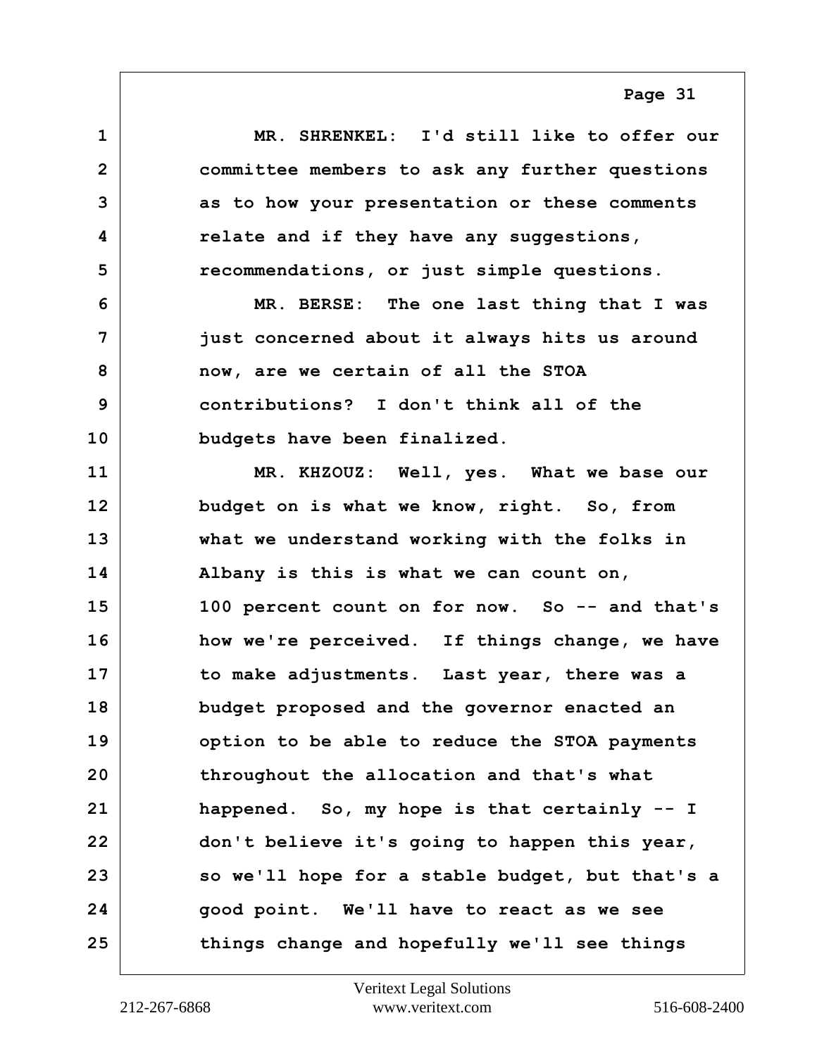<span id="page-30-0"></span>

| $\mathbf{1}$   | MR. SHRENKEL: I'd still like to offer our       |
|----------------|-------------------------------------------------|
| $\overline{2}$ | committee members to ask any further questions  |
| 3              | as to how your presentation or these comments   |
| 4              | relate and if they have any suggestions,        |
| 5              | recommendations, or just simple questions.      |
| 6              | MR. BERSE: The one last thing that I was        |
| 7              | just concerned about it always hits us around   |
| 8              | now, are we certain of all the STOA             |
| 9              | contributions? I don't think all of the         |
| 10             | budgets have been finalized.                    |
| 11             | MR. KHZOUZ: Well, yes. What we base our         |
| 12             | budget on is what we know, right. So, from      |
| 13             | what we understand working with the folks in    |
| 14             | Albany is this is what we can count on,         |
| 15             | 100 percent count on for now. So -- and that's  |
| 16             | how we're perceived. If things change, we have  |
| 17             | to make adjustments. Last year, there was a     |
| 18             | budget proposed and the governor enacted an     |
| 19             | option to be able to reduce the STOA payments   |
| 20             | throughout the allocation and that's what       |
| 21             | happened. So, my hope is that certainly -- I    |
| 22             | don't believe it's going to happen this year,   |
| 23             | so we'll hope for a stable budget, but that's a |
| 24             | good point. We'll have to react as we see       |
| 25             | things change and hopefully we'll see things    |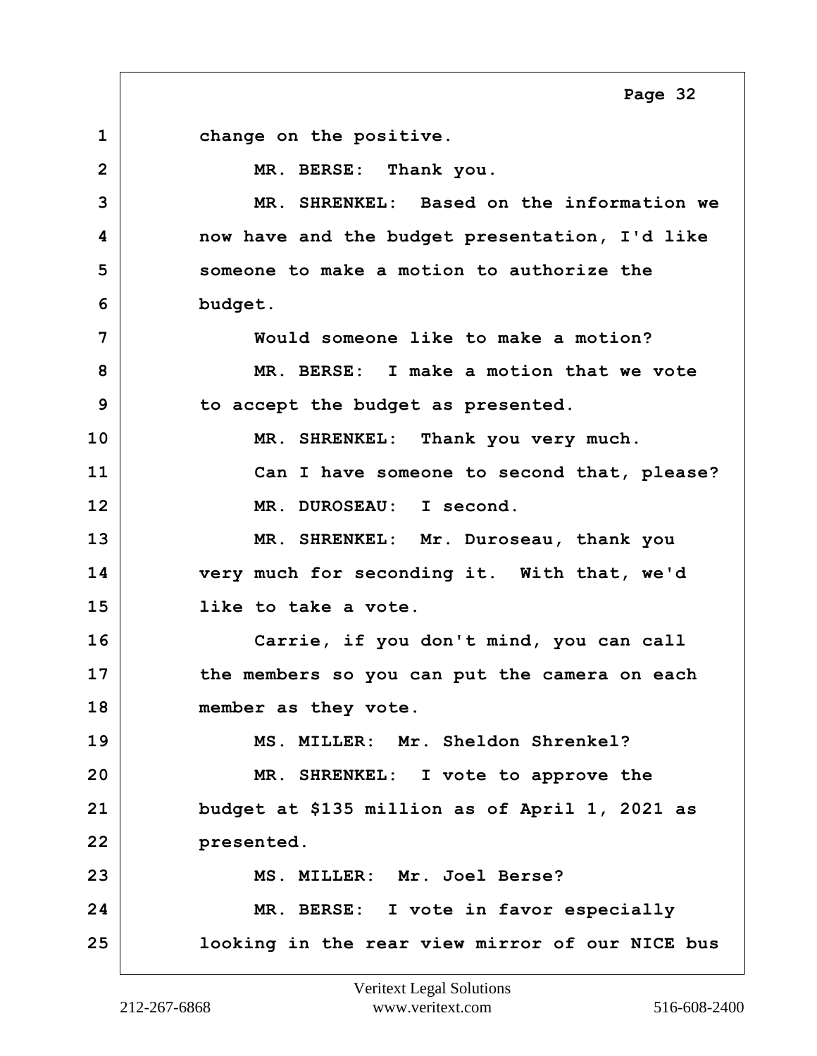<span id="page-31-0"></span>**1 change on the positive. 2 MR. BERSE: Thank you. 3 MR. SHRENKEL: Based on the information we 4 now have and the budget presentation, I'd like 5 someone to make a motion to authorize the 6 budget. 7 Would someone like to make a motion? 8 MR. BERSE: I make a motion that we vote 9 to accept the budget as presented. 10 MR. SHRENKEL: Thank you very much. 11 Can I have someone to second that, please? 12 MR. DUROSEAU: I second. 13 MR. SHRENKEL: Mr. Duroseau, thank you 14 very much for seconding it. With that, we'd 15 like to take a vote. 16 Carrie, if you don't mind, you can call 17 the members so you can put the camera on each 18 member as they vote. 19 MS. MILLER: Mr. Sheldon Shrenkel? 20 MR. SHRENKEL: I vote to approve the 21 budget at \$135 million as of April 1, 2021 as 22 presented. 23 MS. MILLER: Mr. Joel Berse? 24 MR. BERSE: I vote in favor especially 25 looking in the rear view mirror of our NICE bus Page 32**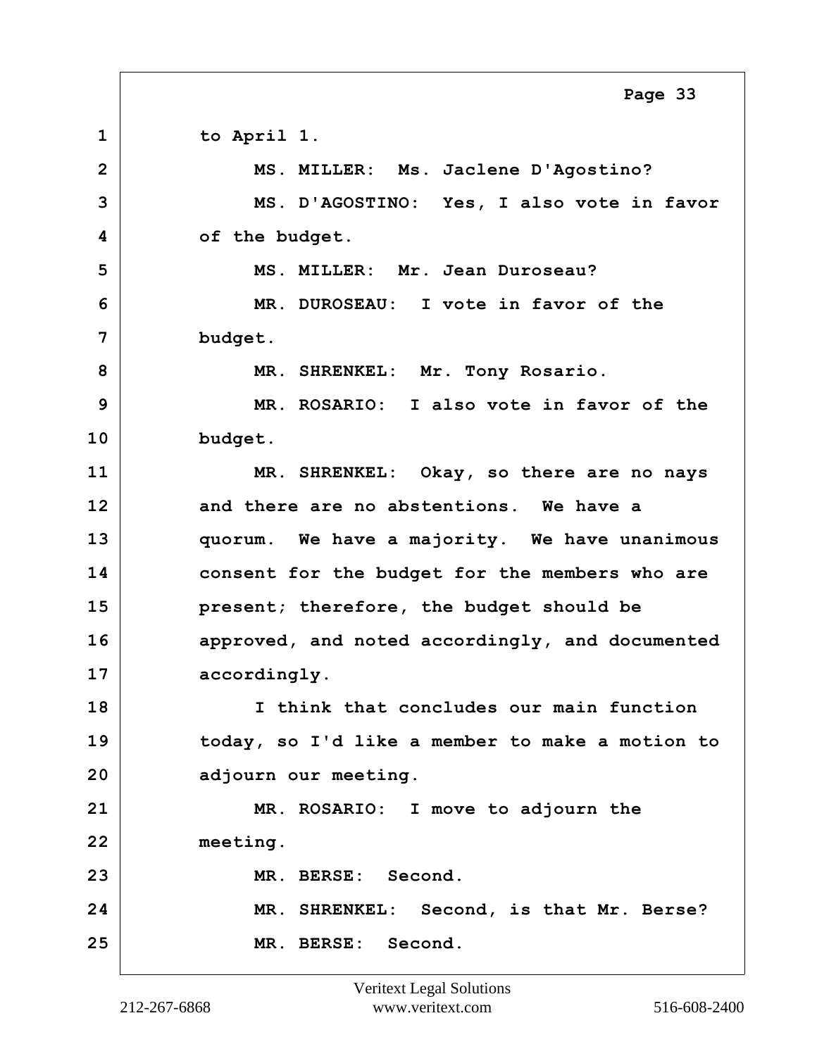<span id="page-32-0"></span>**1 to April 1. 2 MS. MILLER: Ms. Jaclene D'Agostino? 3 MS. D'AGOSTINO: Yes, I also vote in favor 4 of the budget. 5 MS. MILLER: Mr. Jean Duroseau? 6 MR. DUROSEAU: I vote in favor of the 7 budget. 8 MR. SHRENKEL: Mr. Tony Rosario. 9 MR. ROSARIO: I also vote in favor of the 10 budget. 11 MR. SHRENKEL: Okay, so there are no nays 12 and there are no abstentions. We have a 13 quorum. We have a majority. We have unanimous 14 consent for the budget for the members who are 15 present; therefore, the budget should be 16 approved, and noted accordingly, and documented** 17 accordingly. **18 I think that concludes our main function 19 today, so I'd like a member to make a motion to 20 adjourn our meeting. 21 MR. ROSARIO: I move to adjourn the 22 meeting. 23 MR. BERSE: Second. 24 MR. SHRENKEL: Second, is that Mr. Berse? 25 MR. BERSE: Second. Page 33**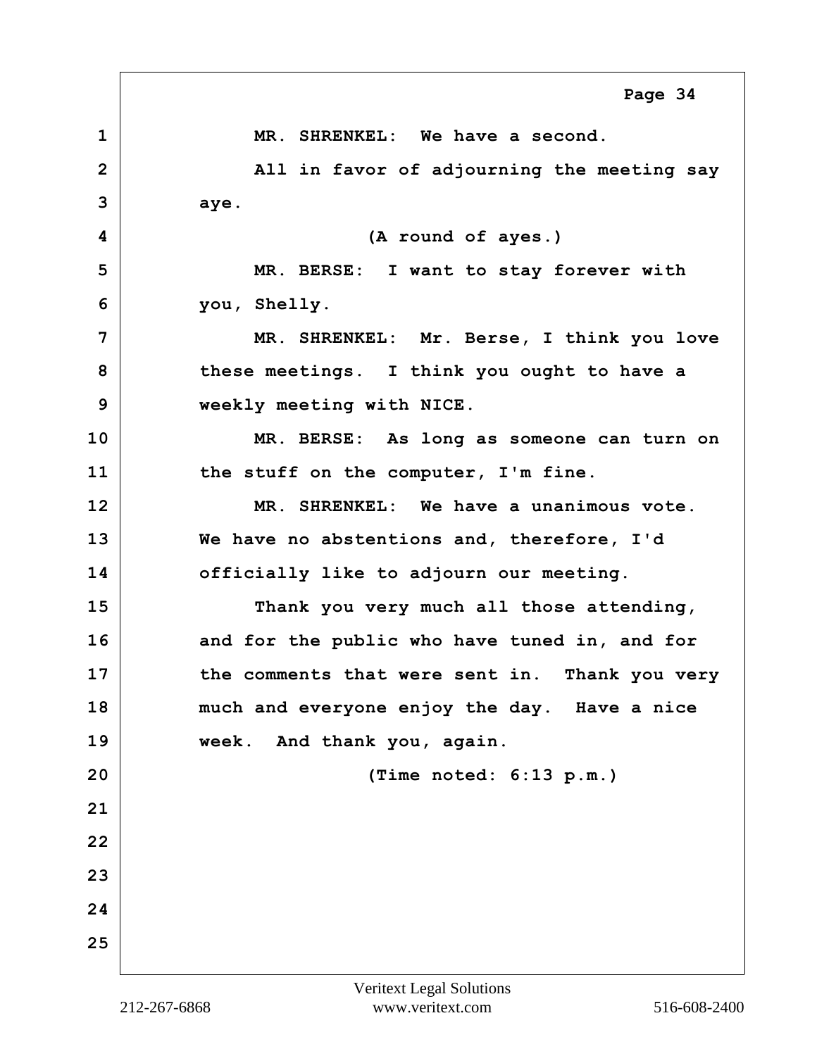<span id="page-33-0"></span>**1 MR. SHRENKEL: We have a second. 2** All in favor of adjourning the meeting say **3 aye. 4 (A round of ayes.) 5 MR. BERSE: I want to stay forever with 6 you, Shelly. 7 MR. SHRENKEL: Mr. Berse, I think you love 8 these meetings. I think you ought to have a 9 weekly meeting with NICE. 10 MR. BERSE: As long as someone can turn on 11 the stuff on the computer, I'm fine. 12 MR. SHRENKEL: We have a unanimous vote. 13 We have no abstentions and, therefore, I'd 14 officially like to adjourn our meeting. 15 Thank you very much all those attending, 16 and for the public who have tuned in, and for 17 the comments that were sent in. Thank you very 18 much and everyone enjoy the day. Have a nice 19 week. And thank you, again. 20 (Time noted: 6:13 p.m.) 21 22 23 24 25 Page 34**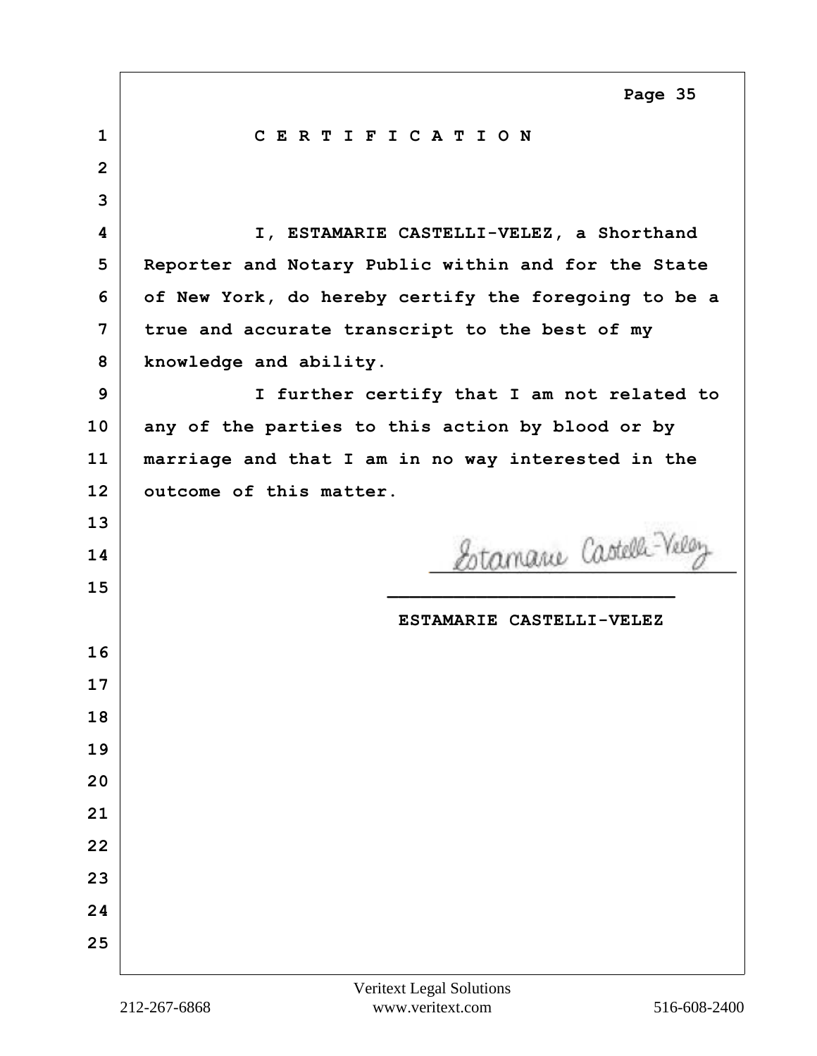<span id="page-34-0"></span>

| $\mathbf{1}$   | CERTIFICATION                                        |
|----------------|------------------------------------------------------|
| $\overline{2}$ |                                                      |
| 3              |                                                      |
| 4              | I, ESTAMARIE CASTELLI-VELEZ, a Shorthand             |
| 5              | Reporter and Notary Public within and for the State  |
| 6              | of New York, do hereby certify the foregoing to be a |
| 7              | true and accurate transcript to the best of my       |
| 8              | knowledge and ability.                               |
| 9              | I further certify that I am not related to           |
| 10             | any of the parties to this action by blood or by     |
| 11             | marriage and that I am in no way interested in the   |
| 12             | outcome of this matter.                              |
| 13             |                                                      |
|                |                                                      |
| 14             |                                                      |
| 15             | Estamarie Castelli-Velez                             |
|                | ESTAMARIE CASTELLI-VELEZ                             |
| 16             |                                                      |
| 17             |                                                      |
| 18             |                                                      |
| 19             |                                                      |
| 20             |                                                      |
| 21             |                                                      |
| 22             |                                                      |
| 23             |                                                      |
| 24             |                                                      |
| 25             |                                                      |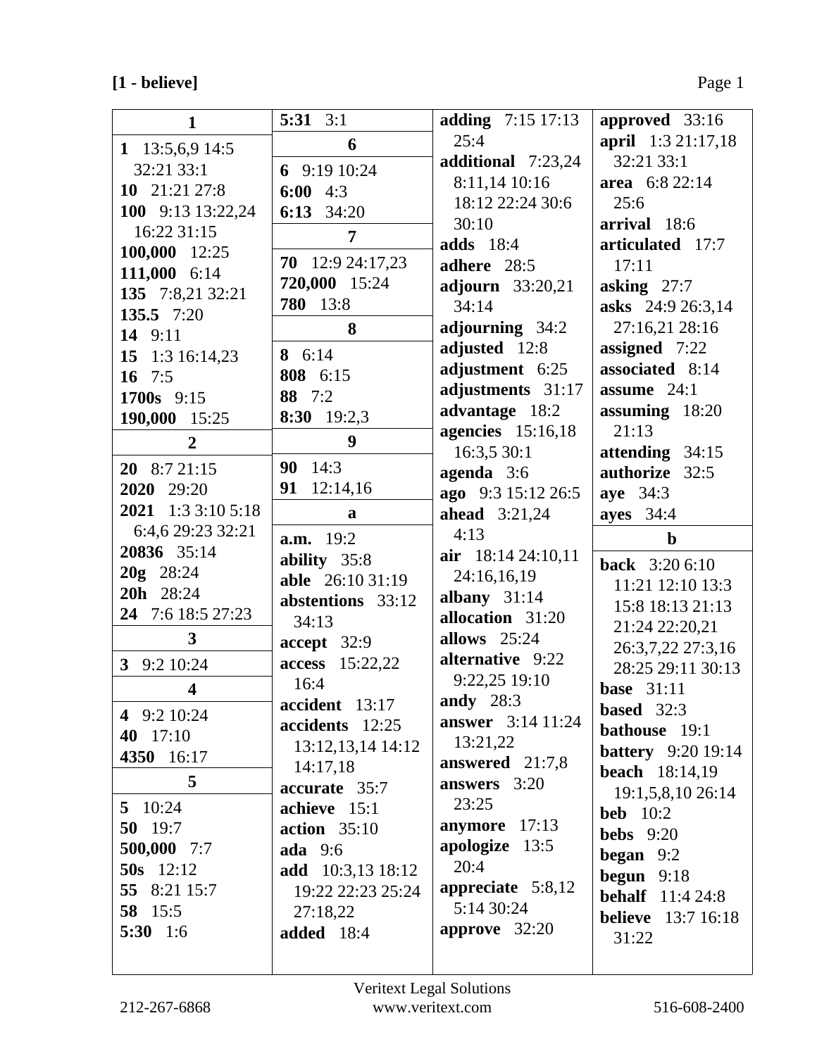# **[1 - believe]** Page 1

| 1                       | $5:31 \quad 3:1$               | adding 7:15 17:13        | approved 33:16                     |
|-------------------------|--------------------------------|--------------------------|------------------------------------|
| 1 13:5,6,9 14:5         | 6                              | 25:4                     | april 1:3 21:17,18                 |
| 32:21 33:1              | 6 $9:1910:24$                  | additional 7:23,24       | 32:21 33:1                         |
| 10 $21:21 27:8$         | 6:00 $4:3$                     | 8:11,14 10:16            | area 6:8 22:14                     |
| 100 9:13 13:22,24       | 6:13 34:20                     | 18:12 22:24 30:6         | 25:6                               |
| 16:22 31:15             |                                | 30:10                    | arrival 18:6                       |
| 100,000 12:25           | 7                              | <b>adds</b> 18:4         | articulated 17:7                   |
| 111,000 6:14            | 70 12:9 24:17,23               | adhere 28:5              | 17:11                              |
| 135 7:8,21 32:21        | 720,000 15:24                  | <b>adjourn</b> 33:20,21  | asking $27:7$                      |
| 135.5 7:20              | 780 13:8                       | 34:14                    | asks 24:9 26:3,14                  |
| 14 9:11                 | 8                              | adjourning 34:2          | 27:16,21 28:16                     |
| 15 1:3 16:14,23         | 8 6:14                         | adjusted 12:8            | assigned 7:22                      |
| 16 $7:5$                | 808 6:15                       | adjustment 6:25          | associated 8:14                    |
| 1700s 9:15              | 88 7:2                         | adjustments 31:17        | assume 24:1                        |
| 190,000 15:25           | 8:30 19:2,3                    | advantage 18:2           | assuming 18:20                     |
|                         | 9                              | agencies $15:16,18$      | 21:13                              |
| $\overline{2}$          |                                | 16:3,5 30:1              | attending 34:15                    |
| $20$ 8:7 21:15          | 90 14:3                        | agenda 3:6               | authorize 32:5                     |
| 2020 29:20              | 12:14,16<br>91                 | ago 9:3 15:12 26:5       | aye 34:3                           |
| 2021 1:3 3:10 5:18      | a                              | <b>ahead</b> 3:21,24     | <b>ayes</b> 34:4                   |
| 6:4,6 29:23 32:21       | <b>a.m.</b> 19:2               | 4:13                     | $\mathbf b$                        |
|                         |                                |                          |                                    |
| 20836 35:14             | ability 35:8                   | air 18:14 24:10,11       |                                    |
| 20g 28:24               | able 26:10 31:19               | 24:16,16,19              | <b>back</b> 3:20 6:10              |
| 20h 28:24               | abstentions 33:12              | albany $31:14$           | 11:21 12:10 13:3                   |
| 24 7:6 18:5 27:23       | 34:13                          | allocation 31:20         | 15:8 18:13 21:13                   |
| 3                       |                                | allows $25:24$           | 21:24 22:20,21                     |
| 3 <sup>1</sup>          | accept 32:9                    | alternative 9:22         | 26:3,7,22 27:3,16                  |
| 9:2 10:24               | <b>access</b> 15:22,22<br>16:4 | 9:22,25 19:10            | 28:25 29:11 30:13                  |
| $\overline{\mathbf{4}}$ | accident 13:17                 | andy $28:3$              | <b>base</b> 31:11                  |
| 4 9:2 10:24             | accidents 12:25                | <b>answer</b> 3:14 11:24 | based 32:3                         |
| 40 17:10                | 13:12,13,14 14:12              | 13:21,22                 | <b>bathouse</b> 19:1               |
| 4350 16:17              | 14:17,18                       | answered 21:7,8          | <b>battery</b> 9:20 19:14          |
| 5                       | accurate 35:7                  | answers 3:20             | <b>beach</b> $18:14,19$            |
| 5 $10:24$               | achieve 15:1                   | 23:25                    | 19:1,5,8,10 26:14                  |
| 50 $19:7$               | <b>action</b> 35:10            | anymore 17:13            | beb $10:2$                         |
| 500,000 7:7             | <b>ada</b> 9:6                 | apologize 13:5           | <b>bebs</b> $9:20$                 |
| $50s$ 12:12             | <b>add</b> 10:3,13 18:12       | 20:4                     | <b>began</b> $9:2$                 |
| 55 8:21 15:7            | 19:22 22:23 25:24              | appreciate 5:8,12        | begun $9:18$                       |
| 58 15:5                 | 27:18,22                       | 5:14 30:24               | <b>behalf</b> 11:4 24:8            |
| 5:30 $1:6$              | <b>added</b> 18:4              | approve 32:20            | <b>believe</b> 13:7 16:18<br>31:22 |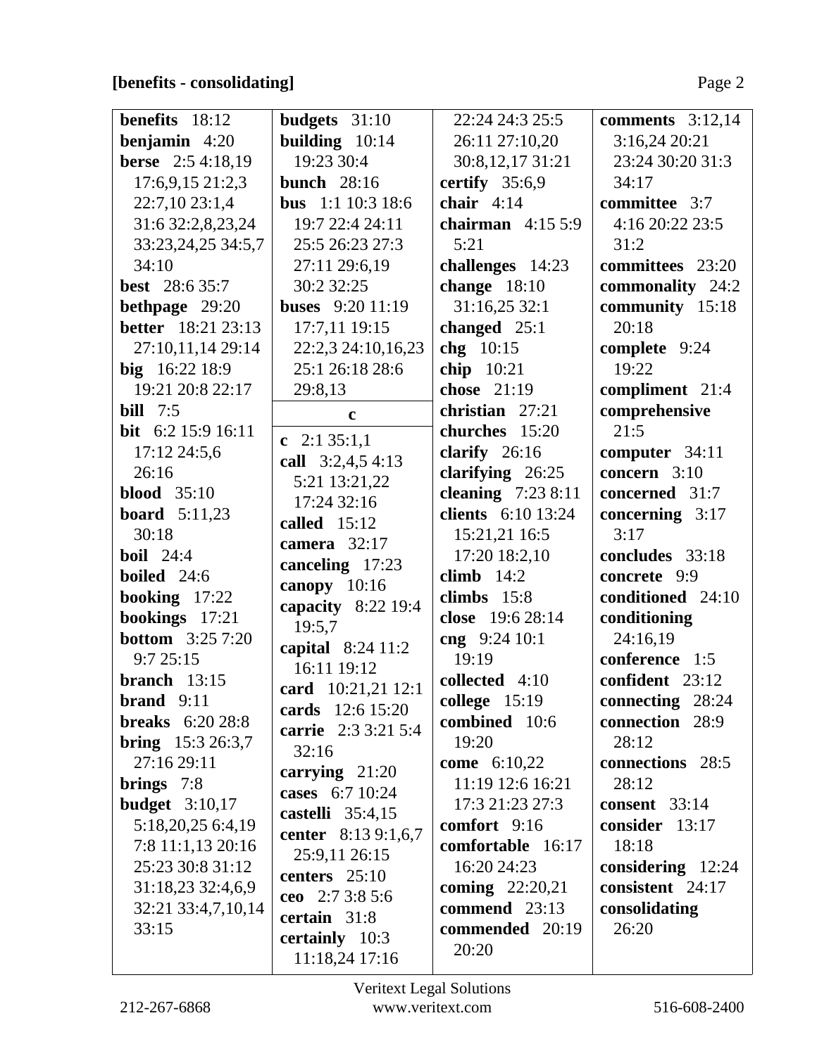# **[benefits - consolidating]** Page 2

| <b>benefits</b> $18:12$   | budgets $31:10$           | 22:24 24:3 25:5          | comments $3:12,14$   |
|---------------------------|---------------------------|--------------------------|----------------------|
| benjamin $4:20$           | building $10:14$          | 26:11 27:10,20           | 3:16,24 20:21        |
| <b>berse</b> 2:5 4:18,19  | 19:23 30:4                | 30:8, 12, 17 31:21       | 23:24 30:20 31:3     |
| 17:6,9,15 21:2,3          | <b>bunch</b> 28:16        | certify $35:6,9$         | 34:17                |
| 22:7,10 23:1,4            | bus 1:1 10:3 18:6         | chair $4:14$             | committee 3:7        |
| 31:6 32:2,8,23,24         | 19:7 22:4 24:11           | chairman $4:155:9$       | 4:16 20:22 23:5      |
| 33:23,24,25 34:5,7        | 25:5 26:23 27:3           | 5:21                     | 31:2                 |
| 34:10                     | 27:11 29:6,19             | challenges 14:23         | committees 23:20     |
| <b>best</b> 28:6 35:7     | 30:2 32:25                | change $18:10$           | commonality 24:2     |
| bethpage 29:20            | <b>buses</b> $9:20$ 11:19 | 31:16,25 32:1            | community 15:18      |
| <b>better</b> 18:21 23:13 | 17:7,11 19:15             | changed $25:1$           | 20:18                |
| 27:10,11,14 29:14         | 22:2,3 24:10,16,23        | chg 10:15                | complete 9:24        |
| big 16:22 18:9            | 25:1 26:18 28:6           | chip $10:21$             | 19:22                |
| 19:21 20:8 22:17          | 29:8,13                   | chose 21:19              | compliment 21:4      |
| <b>bill</b> 7:5           | $\mathbf c$               | christian 27:21          | comprehensive        |
| bit $6:2 15:9 16:11$      | c $2:135:1,1$             | churches 15:20           | 21:5                 |
| 17:12 24:5,6              | call 3:2,4,5 4:13         | clarify 26:16            | computer 34:11       |
| 26:16                     | 5:21 13:21,22             | clarifying $26:25$       | concern 3:10         |
| blood $35:10$             | 17:24 32:16               | cleaning $7:238:11$      | concerned 31:7       |
| <b>board</b> 5:11,23      | called $15:12$            | clients 6:10 13:24       | concerning $3:17$    |
| 30:18                     | camera 32:17              | 15:21,21 16:5            | 3:17                 |
| <b>boil</b> 24:4          | canceling 17:23           | 17:20 18:2,10            | concludes 33:18      |
| <b>boiled</b> 24:6        | canopy 10:16              | climb $14:2$             | concrete 9:9         |
| booking 17:22             | capacity 8:22 19:4        | climbs $15:8$            | conditioned 24:10    |
| bookings 17:21            | 19:5,7                    | close 19:6 28:14         | conditioning         |
| <b>bottom</b> 3:25 7:20   | capital 8:24 11:2         | cng $9:2410:1$           | 24:16,19             |
| 9:725:15                  | 16:11 19:12               | 19:19                    | conference 1:5       |
| branch $13:15$            | card 10:21,21 12:1        | collected 4:10           | confident 23:12      |
| brand $9:11$              | cards 12:6 15:20          | college $15:19$          | connecting 28:24     |
| <b>breaks</b> 6:20 28:8   | carrie 2:3 3:21 5:4       | combined 10:6            | connection 28:9      |
| <b>bring</b> $15:326:3,7$ | 32:16                     | 19:20                    | 28:12                |
| 27:16 29:11               | carrying $21:20$          | come 6:10,22             | connections 28:5     |
| brings $7:8$              | cases 6:7 10:24           | 11:19 12:6 16:21         | 28:12                |
| budget $3:10,17$          | castelli 35:4,15          | 17:3 21:23 27:3          | <b>consent</b> 33:14 |
| 5:18,20,25 6:4,19         | center 8:13 9:1,6,7       | comfort $9:16$           | consider 13:17       |
| 7:8 11:1,13 20:16         | 25:9,11 26:15             | comfortable 16:17        | 18:18                |
| 25:23 30:8 31:12          | centers $25:10$           | 16:20 24:23              | considering $12:24$  |
| 31:18,23 32:4,6,9         | ceo $2:73:85:6$           | <b>coming</b> $22:20,21$ | consistent 24:17     |
| 32:21 33:4,7,10,14        | certain 31:8              | commend 23:13            | consolidating        |
| 33:15                     | certainly 10:3            | commended 20:19          | 26:20                |
|                           | 11:18,24 17:16            | 20:20                    |                      |
|                           |                           |                          |                      |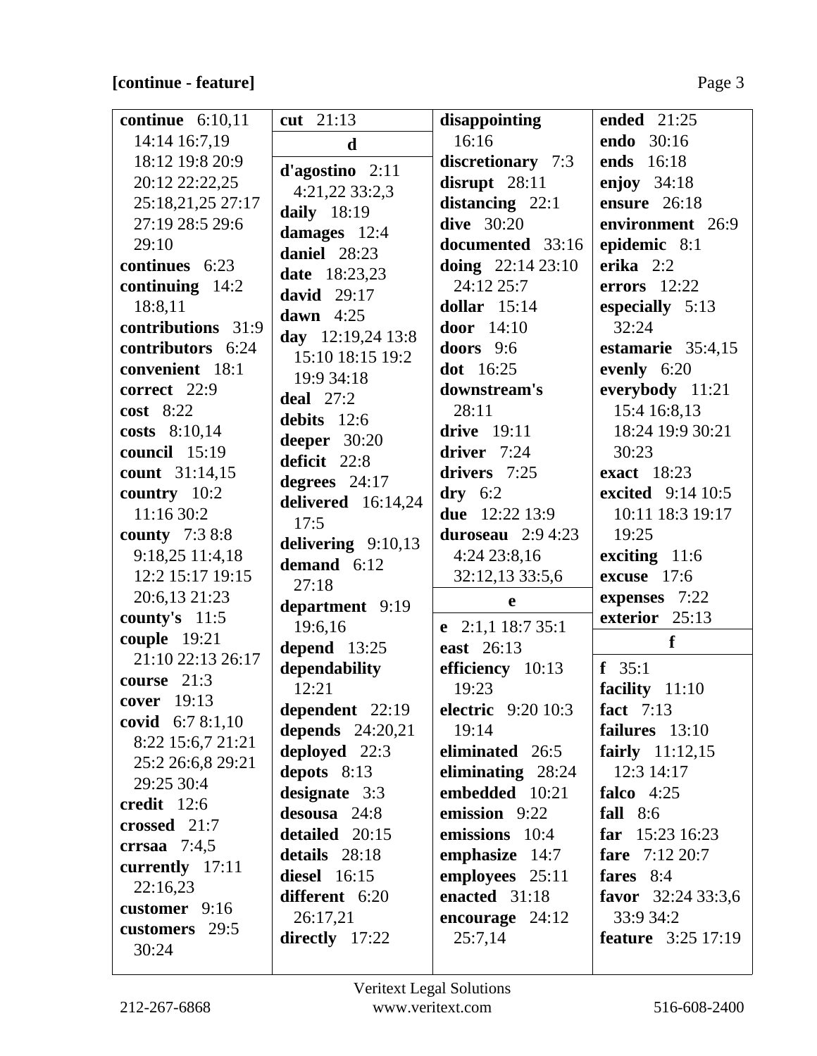# **[continue - feature]** Page 3

| continue $6:10,11$    | cut 21:13           | disappointing                        | ended 21:25               |
|-----------------------|---------------------|--------------------------------------|---------------------------|
| 14:14 16:7,19         |                     | 16:16                                | endo 30:16                |
| 18:12 19:8 20:9       | $\mathbf d$         |                                      | ends 16:18                |
| 20:12 22:22,25        | $d'agostino$ 2:11   | discretionary 7:3<br>disrupt $28:11$ | enjoy $34:18$             |
|                       | 4:21,22 33:2,3      |                                      |                           |
| 25:18,21,25 27:17     | daily 18:19         | distancing $22:1$                    | ensure 26:18              |
| 27:19 28:5 29:6       | damages 12:4        | dive $30:20$                         | environment 26:9          |
| 29:10                 | daniel 28:23        | documented 33:16                     | epidemic 8:1              |
| continues 6:23        | date 18:23,23       | doing $22:1423:10$                   | erika $2:2$               |
| continuing $14:2$     | david $29:17$       | 24:12 25:7                           | errors $12:22$            |
| 18:8,11               | dawn $4:25$         | dollar $15:14$                       | especially 5:13           |
| contributions 31:9    | day 12:19,24 13:8   | door 14:10                           | 32:24                     |
| contributors 6:24     | 15:10 18:15 19:2    | doors $9:6$                          | estamarie 35:4,15         |
| convenient 18:1       | 19:9 34:18          | dot 16:25                            | evenly 6:20               |
| correct 22:9          | deal $27:2$         | downstream's                         | everybody 11:21           |
| $cost$ 8:22           | debits 12:6         | 28:11                                | 15:4 16:8,13              |
| costs $8:10,14$       | deeper $30:20$      | drive 19:11                          | 18:24 19:9 30:21          |
| council 15:19         | deficit 22:8        | driver $7:24$                        | 30:23                     |
| count 31:14,15        |                     | drivers 7:25                         | exact 18:23               |
| country 10:2          | degrees $24:17$     | $\mathbf{dry}$ 6:2                   | <b>excited</b> 9:14 10:5  |
| 11:16 30:2            | delivered 16:14,24  | due 12:22 13:9                       | 10:11 18:3 19:17          |
| <b>county</b> 7:3 8:8 | 17:5                | duroseau 2:9 4:23                    | 19:25                     |
| 9:18,25 11:4,18       | delivering 9:10,13  | 4:24 23:8,16                         | exciting 11:6             |
| 12:2 15:17 19:15      | demand 6:12         | 32:12,13 33:5,6                      | excuse 17:6               |
| 20:6,13 21:23         | 27:18               | e                                    | expenses 7:22             |
| county's $11:5$       | department 9:19     |                                      | exterior 25:13            |
| couple 19:21          | 19:6,16             | e $2:1,1$ 18:7 35:1                  | f                         |
| 21:10 22:13 26:17     | depend 13:25        | east 26:13                           |                           |
| course 21:3           | dependability       | efficiency 10:13                     | f $35:1$                  |
| cover 19:13           | 12:21               | 19:23                                | facility<br>11:10         |
| covid $6:78:1,10$     | dependent 22:19     | <b>electric</b> 9:20 10:3            | fact $7:13$               |
| 8:22 15:6,7 21:21     | depends 24:20,21    | 19:14                                | failures $13:10$          |
| 25:2 26:6,8 29:21     | deployed 22:3       | eliminated 26:5                      | fairly $11:12,15$         |
| 29:25 30:4            | depots $8:13$       | eliminating 28:24                    | 12:3 14:17                |
| credit 12:6           | designate 3:3       | embedded 10:21                       | falco $4:25$              |
| crossed 21:7          | desousa 24:8        | emission 9:22                        | fall $8:6$                |
|                       | detailed 20:15      | emissions 10:4                       | far $15:2316:23$          |
| crrsaa $7:4,5$        | details 28:18       | emphasize 14:7                       | <b>fare</b> $7:12\,20:7$  |
| currently 17:11       | <b>diesel</b> 16:15 | employees 25:11                      | fares 8:4                 |
| 22:16,23              | different 6:20      | enacted 31:18                        | favor $32:2433:3,6$       |
| customer $9:16$       | 26:17,21            | encourage $24:12$                    | 33:9 34:2                 |
| customers 29:5        | directly 17:22      | 25:7,14                              | <b>feature</b> 3:25 17:19 |
| 30:24                 |                     |                                      |                           |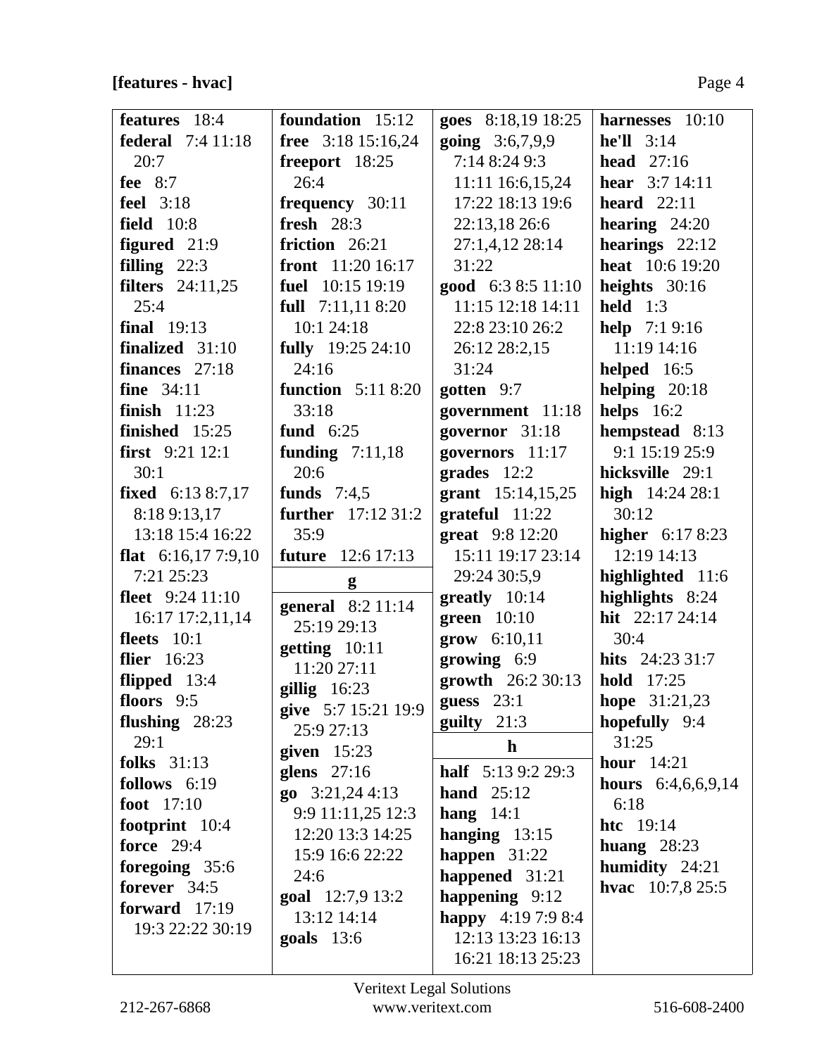# **[features - hvac]** Page 4

| <b>features</b> 18:4        | foundation 15:12                  | goes 8:18,19 18:25               | harnesses $10:10$        |
|-----------------------------|-----------------------------------|----------------------------------|--------------------------|
| <b>federal</b> 7:4 11:18    | <b>free</b> $3:18$ 15:16,24       | going 3:6,7,9,9                  | $he'll$ 3:14             |
| 20:7                        | freeport 18:25                    | 7:14 8:24 9:3                    | head $27:16$             |
| fee $8:7$                   | 26:4                              | 11:11 16:6,15,24                 | <b>hear</b> $3:714:11$   |
| feel 3:18                   | frequency 30:11                   | 17:22 18:13 19:6                 | heard $22:11$            |
| <b>field</b> 10:8           | fresh $28:3$                      | 22:13,18 26:6                    | hearing $24:20$          |
| figured 21:9                | friction $26:21$                  | 27:1,4,12 28:14                  | hearings $22:12$         |
| filling $22:3$              | <b>front</b> $11:2016:17$         | 31:22                            | heat 10:6 19:20          |
| filters $24:11,25$          | <b>fuel</b> 10:15 19:19           | <b>good</b> $6:38:511:10$        | heights $30:16$          |
| 25:4                        | full $7:11,118:20$                | 11:15 12:18 14:11                | held $1:3$               |
| <b>final</b> 19:13          | 10:1 24:18                        | 22:8 23:10 26:2                  | <b>help</b> $7:19:16$    |
| finalized 31:10             | fully $19:25\,24:10$              | 26:12 28:2,15                    | 11:19 14:16              |
| finances $27:18$            | 24:16                             | 31:24                            | helped $16:5$            |
| <b>fine</b> 34:11           | <b>function</b> 5:11 8:20         | gotten $9:7$                     | helping $20:18$          |
| finish $11:23$              | 33:18                             | government 11:18                 | helps $16:2$             |
| finished $15:25$            | fund $6:25$                       | governor 31:18                   | hempstead 8:13           |
| first $9:21$ 12:1           | funding $7:11,18$                 | governors 11:17                  | 9:1 15:19 25:9           |
| 30:1                        | 20:6                              | grades 12:2                      | hicksville 29:1          |
| fixed $6:138:7,17$          | funds $7:4,5$                     | grant 15:14,15,25                | high $14:2428:1$         |
| 8:18 9:13,17                | <b>further</b> $17:12\,31:2$      | $grateful$ 11:22                 | 30:12                    |
| 13:18 15:4 16:22            | 35:9                              | great 9:8 12:20                  | <b>higher</b> $6:178:23$ |
| <b>flat</b> $6:16,177:9,10$ | <b>future</b> 12:6 17:13          | 15:11 19:17 23:14                | 12:19 14:13              |
| 7:21 25:23                  | g                                 | 29:24 30:5,9                     | highlighted 11:6         |
| fleet $9:24$ 11:10          |                                   | greatly 10:14                    | highlights 8:24          |
| 16:17 17:2,11,14            | general $8:2$ 11:14               | <b>green</b> 10:10               | hit $22:1724:14$         |
| fleets $10:1$               | 25:19 29:13                       | grow 6:10,11                     | 30:4                     |
| <b>flier</b> 16:23          | getting 10:11<br>11:20 27:11      | $\boldsymbol{g}$ rowing 6:9      | hits $24:233:7$          |
| flipped 13:4                |                                   | growth $26:230:13$               | <b>hold</b> 17:25        |
| floors $9:5$                | $gillig$ 16:23                    | guess $23:1$                     | hope 31:21,23            |
| flushing $28:23$            | give 5:7 15:21 19:9<br>25:9 27:13 | guilty $21:3$                    | hopefully 9:4            |
| 29:1                        | given $15:23$                     | $\mathbf h$                      | 31:25                    |
| folks $31:13$               | glens $27:16$                     | <b>half</b> $5:139:229:3$        | <b>hour</b> 14:21        |
| follows $6:19$              | $go \quad 3:21,244:13$            | hand $25:12$                     | hours 6:4,6,6,9,14       |
| foot $17:10$                | 9:9 11:11,25 12:3                 |                                  | 6:18                     |
| footprint 10:4              | 12:20 13:3 14:25                  | hang $14:1$<br>hanging $13:15$   | <b>htc</b> $19:14$       |
| <b>force</b> 29:4           | 15:9 16:6 22:22                   | happen $31:22$                   | huang $28:23$            |
| foregoing 35:6              | 24:6                              |                                  | humidity $24:21$         |
| forever 34:5                | <b>goal</b> 12:7,9 13:2           | happened 31:21<br>happening 9:12 | hvac $10:7,825:5$        |
| forward $17:19$             | 13:12 14:14                       | happy $4:197:98:4$               |                          |
| 19:3 22:22 30:19            | goals $13:6$                      | 12:13 13:23 16:13                |                          |
|                             |                                   | 16:21 18:13 25:23                |                          |
|                             |                                   |                                  |                          |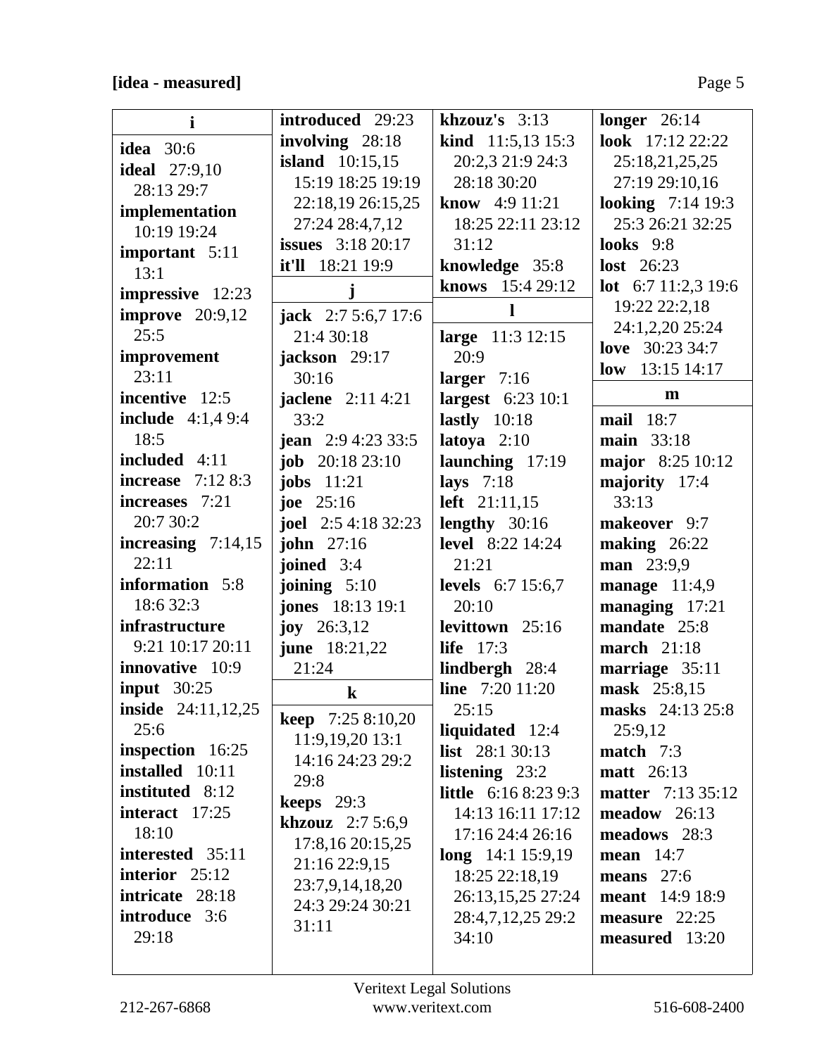# **[idea - measured]** Page 5

| $\mathbf{i}$                | introduced 29:23           | khzouz's $3:13$             | longer $26:14$             |
|-----------------------------|----------------------------|-----------------------------|----------------------------|
| <b>idea</b> 30:6            | involving 28:18            | <b>kind</b> $11:5,13$ 15:3  | look 17:12 22:22           |
| <b>ideal</b> 27:9,10        | <b>island</b> $10:15,15$   | 20:2,3 21:9 24:3            | 25:18,21,25,25             |
| 28:13 29:7                  | 15:19 18:25 19:19          | 28:18 30:20                 | 27:19 29:10,16             |
| implementation              | 22:18,19 26:15,25          | know 4:9 11:21              | <b>looking</b> 7:14 19:3   |
| 10:19 19:24                 | 27:24 28:4,7,12            | 18:25 22:11 23:12           | 25:3 26:21 32:25           |
|                             | <b>issues</b> 3:18 20:17   | 31:12                       | looks $9:8$                |
| important 5:11<br>13:1      | it'll 18:21 19:9           | knowledge 35:8              | lost $26:23$               |
| impressive 12:23            | $\mathbf{j}$               | knows 15:4 29:12            | <b>lot</b> 6:7 11:2,3 19:6 |
| <b>improve</b> 20:9,12      | <b>jack</b> $2:75:6,717:6$ | $\mathbf{l}$                | 19:22 22:2,18              |
| 25:5                        | 21:4 30:18                 | large 11:3 12:15            | 24:1,2,20 25:24            |
| improvement                 | jackson 29:17              | 20:9                        | <b>love</b> 30:23 34:7     |
| 23:11                       | 30:16                      | larger $7:16$               | low $13:15$ 14:17          |
| incentive 12:5              | <b>jaclene</b> 2:11 4:21   | largest 6:23 10:1           | m                          |
| <b>include</b> $4:1,49:4$   | 33:2                       | lastly $10:18$              | mail $18:7$                |
| 18:5                        | jean 2:9 4:23 33:5         | latoya $2:10$               | main 33:18                 |
| included 4:11               | <b>job</b> $20:1823:10$    | launching 17:19             | major 8:25 10:12           |
| <b>increase</b> 7:12 8:3    | jobs $11:21$               | lays $7:18$                 | majority 17:4              |
| increases 7:21              | <b>joe</b> $25:16$         | left $21:11,15$             | 33:13                      |
| 20:7 30:2                   | <b>joel</b> 2:5 4:18 32:23 | lengthy $30:16$             | makeover 9:7               |
| increasing $7:14,15$        | john $27:16$               | <b>level</b> 8:22 14:24     | making $26:22$             |
| 22:11                       | joined 3:4                 | 21:21                       | man 23:9,9                 |
| information 5:8             | joining $5:10$             | <b>levels</b> 6:7 15:6,7    | manage $11:4,9$            |
| 18:6 32:3                   | <b>jones</b> 18:13 19:1    | 20:10                       | managing 17:21             |
| infrastructure              | joy $26:3,12$              | levittown 25:16             | mandate 25:8               |
| 9:21 10:17 20:11            | <b>june</b> 18:21,22       | life $17:3$                 | march $21:18$              |
| innovative 10:9             | 21:24                      | lindbergh 28:4              | marriage 35:11             |
| input $30:25$               | $\bf k$                    | <b>line</b> 7:20 11:20      | mask 25:8,15               |
| <b>inside</b> $24:11,12,25$ |                            | 25:15                       | masks 24:13 25:8           |
| 25:6                        | <b>keep</b> $7:258:10,20$  | liquidated 12:4             | 25:9,12                    |
| inspection 16:25            | 11:9,19,20 13:1            | <b>list</b> $28:130:13$     | match $7:3$                |
| installed 10:11             | 14:16 24:23 29:2           | listening 23:2              | <b>matt</b> 26:13          |
| instituted 8:12             | 29:8                       | <b>little</b> 6:16 8:23 9:3 | <b>matter</b> 7:13 35:12   |
| interact $17:25$            | keeps $29:3$               | 14:13 16:11 17:12           | $meadow$ 26:13             |
| 18:10                       | <b>khzouz</b> $2:75:6,9$   | 17:16 24:4 26:16            | meadows 28:3               |
| interested 35:11            | 17:8,16 20:15,25           | $long$ 14:1 15:9,19         | mean $14:7$                |
| interior $25:12$            | 21:16 22:9,15              | 18:25 22:18,19              | means $27:6$               |
| intricate 28:18             | 23:7,9,14,18,20            | 26:13,15,25 27:24           | <b>meant</b> 14:9 18:9     |
| introduce 3:6               | 24:3 29:24 30:21           | 28:4,7,12,25 29:2           | measure $22:25$            |
| 29:18                       | 31:11                      | 34:10                       | measured 13:20             |
|                             |                            |                             |                            |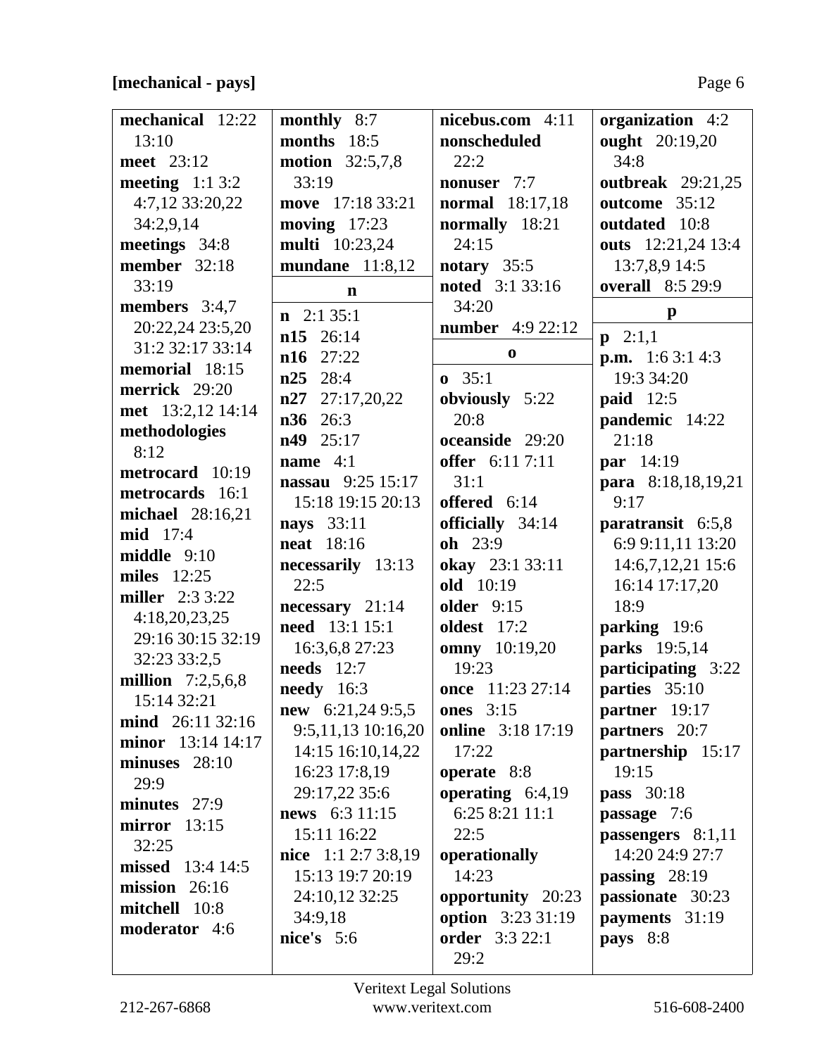# **[mechanical - pays]** Page 6

| mechanical 12:22       | monthly 8:7              | nicebus.com 4:11         | organization 4:2         |
|------------------------|--------------------------|--------------------------|--------------------------|
| 13:10                  | months 18:5              | nonscheduled             | ought 20:19,20           |
| meet 23:12             | <b>motion</b> 32:5,7,8   | 22:2                     | 34:8                     |
| meeting $1:13:2$       | 33:19                    | nonuser 7:7              | <b>outbreak</b> 29:21,25 |
| 4:7,12 33:20,22        | move 17:18 33:21         | normal 18:17,18          | outcome 35:12            |
| 34:2,9,14              | moving $17:23$           | normally 18:21           | outdated 10:8            |
| meetings 34:8          | multi 10:23,24           | 24:15                    | outs 12:21,24 13:4       |
| member 32:18           | mundane $11:8,12$        | notary $35:5$            | 13:7,8,9 14:5            |
| 33:19                  | $\mathbf n$              | noted 3:1 33:16          | <b>overall</b> 8:5 29:9  |
| members $3:4,7$        |                          | 34:20                    |                          |
| 20:22,24 23:5,20       | $n \quad 2:1 \quad 35:1$ | <b>number</b> 4:9 22:12  | $\mathbf{p}$             |
| 31:2 32:17 33:14       | n15 26:14                |                          | $p \quad 2:1,1$          |
| memorial 18:15         | $n16$ 27:22              | $\bf{0}$                 | <b>p.m.</b> 1:6 3:1 4:3  |
| merrick 29:20          | n25<br>28:4              | $\mathbf{0}$ 35:1        | 19:3 34:20               |
|                        | $n27$ 27:17,20,22        | obviously 5:22           | <b>paid</b> 12:5         |
| met 13:2,12 14:14      | n36<br>26:3              | 20:8                     | pandemic 14:22           |
| methodologies          | 25:17<br>n49             | oceanside 29:20          | 21:18                    |
| 8:12                   | name $4:1$               | offer 6:11 7:11          | par 14:19                |
| metrocard 10:19        | <b>nassau</b> 9:25 15:17 | 31:1                     | para 8:18,18,19,21       |
| metrocards 16:1        | 15:18 19:15 20:13        | offered 6:14             | 9:17                     |
| michael 28:16,21       | nays 33:11               | officially 34:14         | paratransit $6:5,8$      |
| mid 17:4               | <b>neat</b> 18:16        | oh 23:9                  | 6:9 9:11,11 13:20        |
| $mid$ dle $9:10$       | necessarily 13:13        | okay 23:1 33:11          | 14:6,7,12,21 15:6        |
| <b>miles</b> 12:25     | 22:5                     | old 10:19                | 16:14 17:17,20           |
| <b>miller</b> 2:3 3:22 | necessary 21:14          | <b>older</b> 9:15        | 18:9                     |
| 4:18,20,23,25          | need 13:1 15:1           | <b>oldest</b> 17:2       | parking 19:6             |
| 29:16 30:15 32:19      | 16:3,6,8 27:23           | omny 10:19,20            | parks 19:5,14            |
| 32:23 33:2,5           | needs $12:7$             | 19:23                    | participating 3:22       |
| million $7:2,5,6,8$    | needy 16:3               | once 11:23 27:14         | parties 35:10            |
| 15:14 32:21            | new $6:21,249:5,5$       | <b>ones</b> 3:15         | partner 19:17            |
| mind 26:11 32:16       | 9:5,11,13 10:16,20       | online 3:18 17:19        | partners 20:7            |
| minor 13:14 14:17      |                          | 17:22                    |                          |
| minuses $28:10$        | 14:15 16:10,14,22        |                          | partnership 15:17        |
| 29:9                   | 16:23 17:8,19            | operate 8:8              | 19:15                    |
| minutes 27:9           | 29:17,22 35:6            | operating $6:4,19$       | <b>pass</b> 30:18        |
| $mirror$ 13:15         | news 6:3 11:15           | 6:25 8:21 11:1           | passage 7:6              |
| 32:25                  | 15:11 16:22              | 22:5                     | passengers $8:1,11$      |
| missed 13:4 14:5       | nice $1:12:73:8,19$      | operationally            | 14:20 24:9 27:7          |
| mission $26:16$        | 15:13 19:7 20:19         | 14:23                    | passing $28:19$          |
| mitchell 10:8          | 24:10,12 32:25           | opportunity 20:23        | passionate 30:23         |
| <b>moderator</b> 4:6   | 34:9,18                  | <b>option</b> 3:23 31:19 | payments 31:19           |
|                        | nice's $5:6$             | <b>order</b> 3:3 22:1    | pays $8:8$               |
|                        |                          | 29:2                     |                          |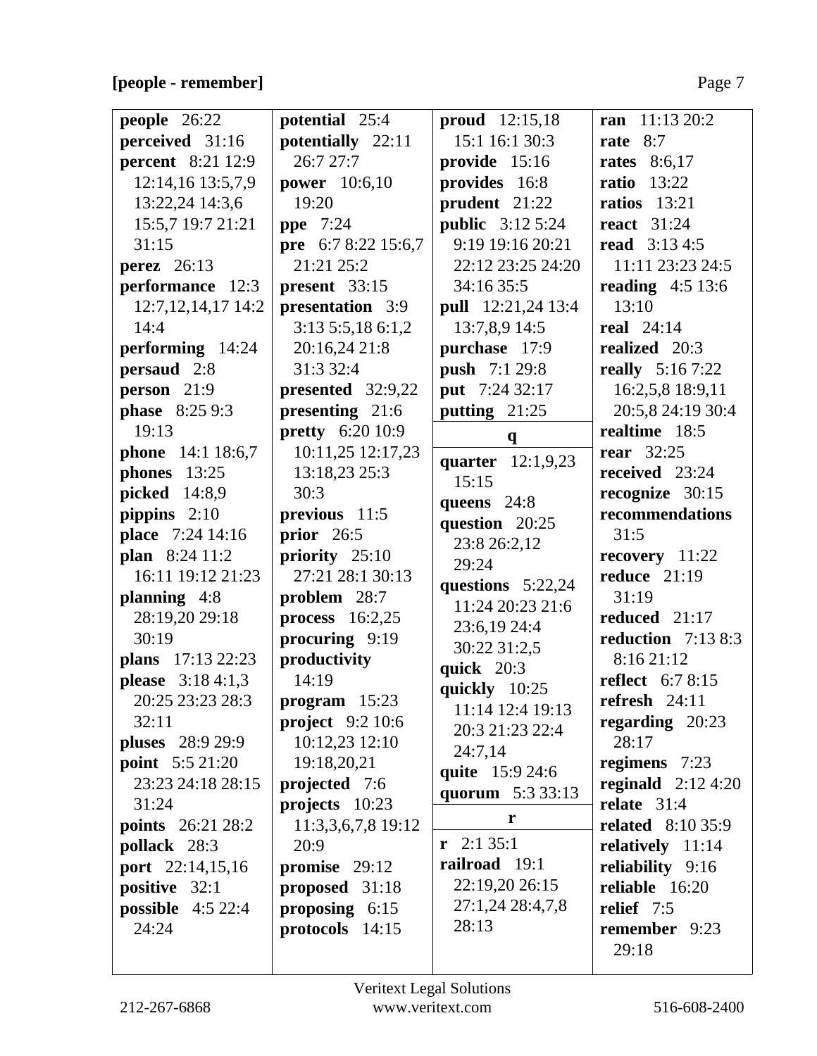# **[people - remember]** Page 7

| people 26:22              | potential 25:4          | proud $12:15,18$        | ran $11:1320:2$          |
|---------------------------|-------------------------|-------------------------|--------------------------|
| perceived 31:16           | potentially 22:11       | 15:1 16:1 30:3          | 8:7<br>rate              |
| <b>percent</b> 8:21 12:9  | 26:727:7                | provide 15:16           | <b>rates</b> 8:6,17      |
| 12:14,16 13:5,7,9         | <b>power</b> 10:6,10    | provides 16:8           | <b>ratio</b> 13:22       |
| 13:22,24 14:3,6           | 19:20                   | prudent 21:22           | ratios $13:21$           |
| 15:5,7 19:7 21:21         | <b>ppe</b> 7:24         | <b>public</b> 3:12 5:24 | <b>react</b> 31:24       |
| 31:15                     | pre 6:7 8:22 15:6,7     | 9:19 19:16 20:21        | <b>read</b> 3:13 4:5     |
| <b>perez</b> 26:13        | 21:21 25:2              | 22:12 23:25 24:20       | 11:11 23:23 24:5         |
| performance 12:3          | present $33:15$         | 34:16 35:5              | reading $4:5$ 13:6       |
| 12:7, 12, 14, 17 14: 2    | presentation 3:9        | pull 12:21,24 13:4      | 13:10                    |
| 14:4                      | 3:13 5:5,18 6:1,2       | 13:7,8,9 14:5           | real $24:14$             |
| performing 14:24          | 20:16,24 21:8           | purchase 17:9           | realized 20:3            |
| persaud 2:8               | 31:3 32:4               | <b>push</b> 7:1 29:8    | <b>really</b> 5:16 7:22  |
| person 21:9               | presented 32:9,22       | put 7:24 32:17          | 16:2,5,8 18:9,11         |
| <b>phase</b> 8:25 9:3     | presenting 21:6         | putting $21:25$         | 20:5,8 24:19 30:4        |
| 19:13                     | <b>pretty</b> 6:20 10:9 | $\mathbf{q}$            | realtime 18:5            |
| phone 14:1 18:6,7         | 10:11,25 12:17,23       | quarter 12:1,9,23       | rear $32:25$             |
| phones 13:25              | 13:18,23 25:3           | 15:15                   | received 23:24           |
| picked 14:8,9             | 30:3                    | queens $24:8$           | recognize 30:15          |
| pippins $2:10$            | previous 11:5           | question 20:25          | recommendations          |
| place 7:24 14:16          | prior 26:5              | 23:8 26:2,12            | 31:5                     |
| plan 8:24 11:2            | priority 25:10          | 29:24                   | recovery 11:22           |
| 16:11 19:12 21:23         | 27:21 28:1 30:13        | questions $5:22,24$     | reduce $21:19$           |
| planning $4:8$            | problem 28:7            | 11:24 20:23 21:6        | 31:19                    |
| 28:19,20 29:18            | process $16:2,25$       | 23:6,19 24:4            | reduced 21:17            |
| 30:19                     | procuring 9:19          | 30:22 31:2,5            | reduction $7:138:3$      |
| plans 17:13 22:23         | productivity            | quick $20:3$            | 8:16 21:12               |
| <b>please</b> $3:184:1,3$ | 14:19                   | quickly 10:25           | <b>reflect</b> 6:7 8:15  |
| 20:25 23:23 28:3          | program 15:23           | 11:14 12:4 19:13        | refresh $24:11$          |
| 32:11                     | project $9:210:6$       | 20:3 21:23 22:4         | regarding $20:23$        |
| <b>pluses</b> 28:9 29:9   | $10:12,23$ $12:10$      | 24:7,14                 | 28:17                    |
| <b>point</b> $5:521:20$   | 19:18,20,21             | quite 15:9 24:6         | regimens 7:23            |
| 23:23 24:18 28:15         | projected 7:6           | quorum 5:3 33:13        | reginald $2:12\,4:20$    |
| 31:24                     | projects 10:23          |                         | relate $31:4$            |
| <b>points</b> 26:21 28:2  | 11:3,3,6,7,8 19:12      | r                       | <b>related</b> 8:10 35:9 |
| pollack 28:3              | 20:9                    | $\mathbf{r}$ 2:1 35:1   | relatively $11:14$       |
| port 22:14,15,16          | promise $29:12$         | railroad 19:1           | reliability 9:16         |
| positive 32:1             | proposed 31:18          | 22:19,20 26:15          | reliable 16:20           |
| possible $4:522:4$        | proposing $6:15$        | 27:1,24 28:4,7,8        | relief 7:5               |
| 24:24                     | protocols 14:15         | 28:13                   | remember 9:23            |
|                           |                         |                         | 29:18                    |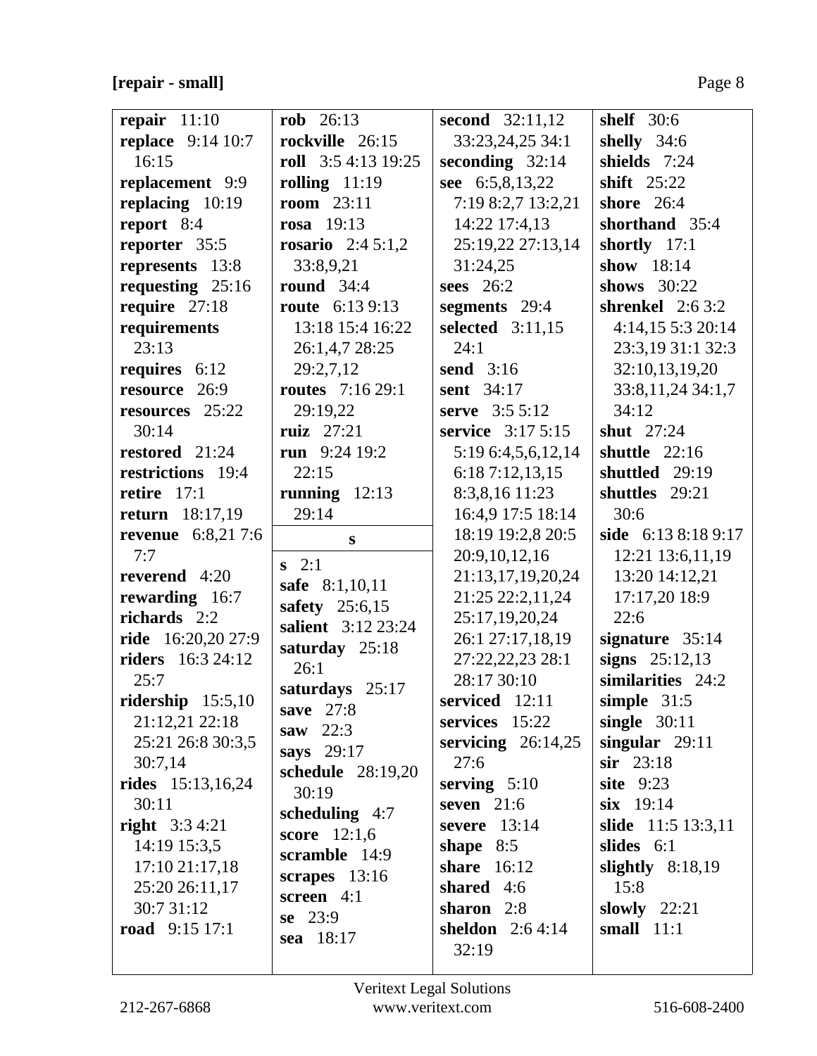| repair $11:10$            | $rob 26:13$              | <b>second</b> 32:11,12 | shelf $30:6$         |
|---------------------------|--------------------------|------------------------|----------------------|
| <b>replace</b> 9:14 10:7  | rockville 26:15          | 33:23,24,25 34:1       | shelly 34:6          |
| 16:15                     | roll 3:5 4:13 19:25      | seconding $32:14$      | shields 7:24         |
| replacement 9:9           | rolling $11:19$          | see 6:5,8,13,22        | shift 25:22          |
| replacing $10:19$         | <b>room</b> 23:11        | 7:19 8:2,7 13:2,21     | shore $26:4$         |
| report 8:4                | rosa $19:13$             | 14:22 17:4,13          | shorthand 35:4       |
| reporter 35:5             | <b>rosario</b> 2:4 5:1,2 | 25:19,22 27:13,14      | shortly 17:1         |
| represents 13:8           | 33:8,9,21                | 31:24,25               | show 18:14           |
| requesting $25:16$        | round $34:4$             | sees $26:2$            | shows $30:22$        |
| require 27:18             | <b>route</b> 6:13 9:13   | segments 29:4          | shrenkel $2:63:2$    |
| requirements              | 13:18 15:4 16:22         | selected 3:11,15       | 4:14,15 5:3 20:14    |
| 23:13                     | 26:1,4,7 28:25           | 24:1                   | 23:3,19 31:1 32:3    |
| requires 6:12             | 29:2,7,12                | send $3:16$            | 32:10,13,19,20       |
| resource 26:9             | <b>routes</b> 7:16 29:1  | <b>sent</b> 34:17      | 33:8, 11, 24 34:1, 7 |
| resources 25:22           | 29:19,22                 | serve 3:5 5:12         | 34:12                |
| 30:14                     | ruiz $27:21$             | service 3:17 5:15      | shut 27:24           |
| restored 21:24            | run $9:2419:2$           | 5:19 6:4,5,6,12,14     | shuttle $22:16$      |
| restrictions 19:4         | 22:15                    | 6:187:12,13,15         | shuttled 29:19       |
| retire $17:1$             | running $12:13$          | 8:3,8,16 11:23         | shuttles 29:21       |
| <b>return</b> 18:17,19    | 29:14                    | 16:4,9 17:5 18:14      | 30:6                 |
| <b>revenue</b> 6:8,21 7:6 | S                        | 18:19 19:2,8 20:5      | side 6:13 8:18 9:17  |
| 7:7                       | $s \quad 2:1$            | 20:9,10,12,16          | 12:21 13:6,11,19     |
| reverend $4:20$           | safe 8:1,10,11           | 21:13,17,19,20,24      | 13:20 14:12,21       |
| rewarding 16:7            | safety 25:6,15           | 21:25 22:2,11,24       | 17:17,20 18:9        |
| richards 2:2              | salient 3:12 23:24       | 25:17,19,20,24         | 22:6                 |
| <b>ride</b> 16:20,20 27:9 | saturday 25:18           | 26:1 27:17,18,19       | signature 35:14      |
| <b>riders</b> 16:3 24:12  | 26:1                     | 27:22,22,23 28:1       | signs $25:12,13$     |
| 25:7                      | saturdays 25:17          | 28:17 30:10            | similarities 24:2    |
| ridership $15:5,10$       | save $27:8$              | serviced 12:11         | simple $31:5$        |
| 21:12,21 22:18            | saw $22:3$               | services 15:22         | single $30:11$       |
| 25:21 26:8 30:3,5         | says 29:17               | servicing $26:14,25$   | singular $29:11$     |
| 30:7,14                   | schedule 28:19,20        | 27:6                   | $sir$ 23:18          |
| <b>rides</b> 15:13,16,24  | 30:19                    | serving $5:10$         | <b>site</b> 9:23     |
| 30:11                     | scheduling $4:7$         | seven $21:6$           | $s$ ix 19:14         |
| <b>right</b> $3:34:21$    | <b>score</b> $12:1,6$    | severe $13:14$         | slide 11:5 13:3,11   |
| 14:19 15:3,5              | scramble 14:9            | shape $8:5$            | slides $6:1$         |
| 17:10 21:17,18            | scrapes $13:16$          | share 16:12            | slightly $8:18,19$   |
| 25:20 26:11,17            | screen 4:1               | shared 4:6             | 15:8                 |
| 30:7 31:12                | $se$ 23:9                | sharon 2:8             | slowly $22:21$       |
| road $9:15 17:1$          | sea 18:17                | sheldon $2:64:14$      | small $11:1$         |
|                           |                          | 32:19                  |                      |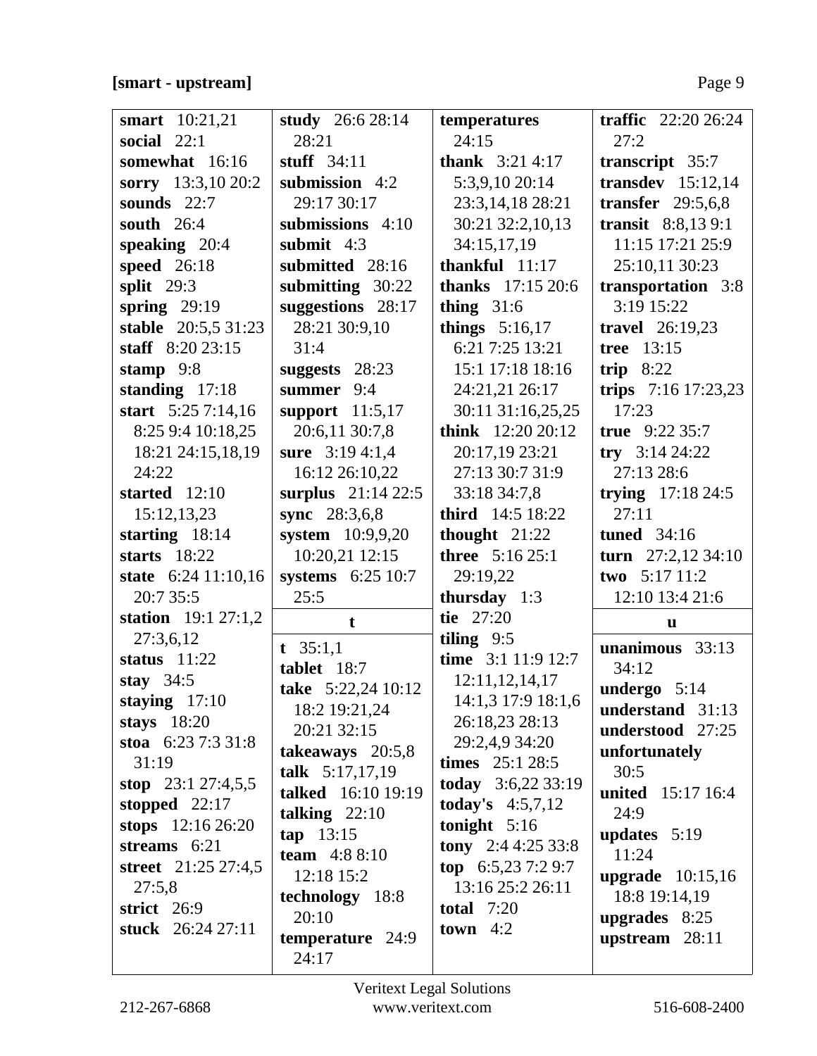| <b>smart</b> 10:21,21<br>social $22:1$ | study 26:6 28:14<br>28:21 | temperatures<br>24:15     | traffic $22:2026:24$<br>27:2 |
|----------------------------------------|---------------------------|---------------------------|------------------------------|
| somewhat 16:16                         | stuff $34:11$             | <b>thank</b> $3:214:17$   | transcript 35:7              |
| sorry 13:3,10 20:2                     | submission 4:2            | 5:3,9,10 20:14            | transdev $15:12,14$          |
| sounds $22:7$                          | 29:17 30:17               | 23:3,14,18 28:21          | transfer $29:5,6,8$          |
| south $26:4$                           | submissions 4:10          | 30:21 32:2,10,13          | transit 8:8,13 9:1           |
| speaking $20:4$                        | submit $4:3$              | 34:15,17,19               | 11:15 17:21 25:9             |
| speed 26:18                            | submitted 28:16           | thankful $11:17$          | 25:10,11 30:23               |
| split $29:3$                           | submitting 30:22          | <b>thanks</b> $17:1520:6$ | transportation 3:8           |
| spring $29:19$                         | suggestions 28:17         | thing $31:6$              | 3:19 15:22                   |
| stable 20:5,5 31:23                    | 28:21 30:9,10             | things $5:16,17$          | <b>travel</b> 26:19,23       |
| staff $8:2023:15$                      | 31:4                      | 6:21 7:25 13:21           | tree 13:15                   |
| stamp $9:8$                            | suggests 28:23            | 15:1 17:18 18:16          | trip $8:22$                  |
| standing $17:18$                       | summer 9:4                | 24:21,21 26:17            | trips 7:16 17:23,23          |
| start 5:25 7:14,16                     | support $11:5,17$         | 30:11 31:16,25,25         | 17:23                        |
| 8:25 9:4 10:18,25                      | 20:6,11 30:7,8            | think $12:2020:12$        | true $9:2235:7$              |
| 18:21 24:15,18,19                      | sure $3:194:1,4$          | 20:17,19 23:21            | try $3:14\,24:22$            |
| 24:22                                  | 16:12 26:10,22            | 27:13 30:7 31:9           | 27:13 28:6                   |
| started 12:10                          | surplus 21:14 22:5        | 33:18 34:7,8              | trying $17:18\,24:5$         |
| 15:12,13,23                            | sync 28:3,6,8             | third 14:5 18:22          | 27:11                        |
| starting $18:14$                       | system 10:9,9,20          | thought $21:22$           | tuned $34:16$                |
| starts $18:22$                         | 10:20,21 12:15            | three 5:16 25:1           | turn $27:2,12\,34:10$        |
| state 6:24 11:10,16                    | systems 6:25 10:7         | 29:19,22                  | two 5:17 11:2                |
| 20:7 35:5                              | 25:5                      | thursday $1:3$            | 12:10 13:4 21:6              |
| station $19:127:1,2$                   | $\mathbf t$               | tie 27:20                 | u                            |
| 27:3,6,12                              | t $35:1,1$                | tiling $9:5$              | unanimous 33:13              |
| status $11:22$                         | tablet 18:7               | time 3:1 11:9 12:7        | 34:12                        |
| stay $34:5$                            | take 5:22,24 10:12        | 12:11,12,14,17            | undergo 5:14                 |
| staying $17:10$                        | 18:2 19:21,24             | 14:1,3 17:9 18:1,6        | understand 31:13             |
| stays $18:20$                          | 20:21 32:15               | 26:18,23 28:13            | understood 27:25             |
| stoa 6:23 7:3 31:8                     | takeaways 20:5,8          | 29:2,4,9 34:20            | unfortunately                |
| 31:19                                  | talk 5:17,17,19           | times $25:128:5$          | 30:5                         |
| stop $23:127:4,5,5$                    | talked 16:10 19:19        | today 3:6,22 33:19        | <b>united</b> 15:17 16:4     |
| stopped $22:17$                        | talking $22:10$           | <b>today's</b> $4:5,7,12$ | 24:9                         |
| stops $12:1626:20$                     | tan 13:15                 | tonight $5:16$            | <b>updates</b> $5:19$        |
| streams $6:21$                         | team $4:88:10$            | tony 2:4 4:25 33:8        | 11:24                        |
| street 21:25 27:4,5                    | 12:18 15:2                | top $6:5,237:29:7$        | upgrade $10:15,16$           |
| 27:5,8                                 | technology 18:8           | 13:16 25:2 26:11          | 18:8 19:14,19                |
| strict $26:9$                          |                           | total $7:20$              |                              |
|                                        | 20:10                     |                           | upgrades $8:25$              |
| stuck 26:24 27:11                      | temperature 24:9          | town $4:2$                | upstream $28:11$             |

 $\frac{1}{2}$